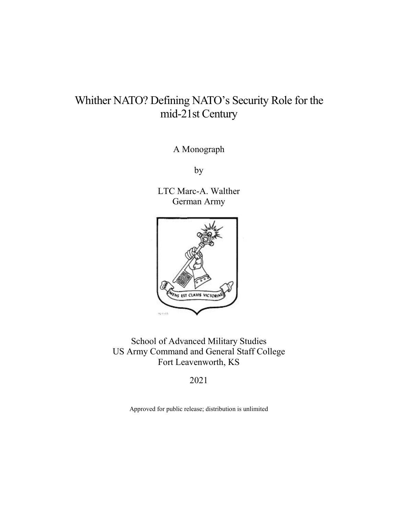# Whither NATO? Defining NATO's Security Role for the mid-21st Century

A Monograph

by

LTC Marc-A. Walther German Army



School of Advanced Military Studies US Army Command and General Staff College Fort Leavenworth, KS

2021

Approved for public release; distribution is unlimited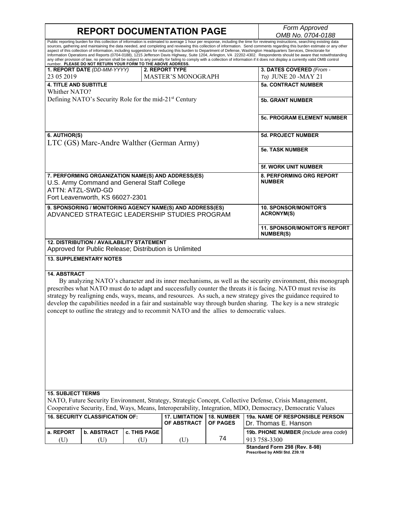$\overline{\phantom{a}}$ 

| <b>REPORT DOCUMENTATION PAGE</b>                                                                                                                          | Form Approved                                                                                                                                                                                                                                                                                                                                                                                                                                                                                                                                                                                                                                                                                                                                                                                                                                                                                     |                                                         |
|-----------------------------------------------------------------------------------------------------------------------------------------------------------|---------------------------------------------------------------------------------------------------------------------------------------------------------------------------------------------------------------------------------------------------------------------------------------------------------------------------------------------------------------------------------------------------------------------------------------------------------------------------------------------------------------------------------------------------------------------------------------------------------------------------------------------------------------------------------------------------------------------------------------------------------------------------------------------------------------------------------------------------------------------------------------------------|---------------------------------------------------------|
|                                                                                                                                                           | OMB No. 0704-0188                                                                                                                                                                                                                                                                                                                                                                                                                                                                                                                                                                                                                                                                                                                                                                                                                                                                                 |                                                         |
| number. PLEASE DO NOT RETURN YOUR FORM TO THE ABOVE ADDRESS.                                                                                              | Public reporting burden for this collection of information is estimated to average 1 hour per response, including the time for reviewing instructions, searching existing data<br>sources, gathering and maintaining the data needed, and completing and reviewing this collection of information. Send comments regarding this burden estimate or any other<br>aspect of this collection of information, including suggestions for reducing this burden to Department of Defense, Washington Headquarters Services, Directorate for<br>Information Operations and Reports (0704-0188), 1215 Jefferson Davis Highway, Suite 1204, Arlington, VA 22202-4302. Respondents should be aware that notwithstanding<br>any other provision of law, no person shall be subject to any penalty for failing to comply with a collection of information if it does not display a currently valid OMB control |                                                         |
| 1. REPORT DATE (DD-MM-YYYY)                                                                                                                               | 2. REPORT TYPE                                                                                                                                                                                                                                                                                                                                                                                                                                                                                                                                                                                                                                                                                                                                                                                                                                                                                    | 3. DATES COVERED (From -                                |
| 23 05 2019                                                                                                                                                | <b>MASTER'S MONOGRAPH</b>                                                                                                                                                                                                                                                                                                                                                                                                                                                                                                                                                                                                                                                                                                                                                                                                                                                                         | To) JUNE 20 -MAY 21                                     |
| <b>4. TITLE AND SUBTITLE</b><br>Whither NATO?                                                                                                             |                                                                                                                                                                                                                                                                                                                                                                                                                                                                                                                                                                                                                                                                                                                                                                                                                                                                                                   | <b>5a. CONTRACT NUMBER</b>                              |
| Defining NATO's Security Role for the mid-21 <sup>st</sup> Century                                                                                        |                                                                                                                                                                                                                                                                                                                                                                                                                                                                                                                                                                                                                                                                                                                                                                                                                                                                                                   | <b>5b. GRANT NUMBER</b>                                 |
|                                                                                                                                                           |                                                                                                                                                                                                                                                                                                                                                                                                                                                                                                                                                                                                                                                                                                                                                                                                                                                                                                   | <b>5c. PROGRAM ELEMENT NUMBER</b>                       |
| 6. AUTHOR(S)<br>LTC (GS) Marc-Andre Walther (German Army)                                                                                                 |                                                                                                                                                                                                                                                                                                                                                                                                                                                                                                                                                                                                                                                                                                                                                                                                                                                                                                   | <b>5d. PROJECT NUMBER</b>                               |
|                                                                                                                                                           |                                                                                                                                                                                                                                                                                                                                                                                                                                                                                                                                                                                                                                                                                                                                                                                                                                                                                                   | <b>5e. TASK NUMBER</b>                                  |
|                                                                                                                                                           |                                                                                                                                                                                                                                                                                                                                                                                                                                                                                                                                                                                                                                                                                                                                                                                                                                                                                                   | 5f. WORK UNIT NUMBER                                    |
| 7. PERFORMING ORGANIZATION NAME(S) AND ADDRESS(ES)<br>U.S. Army Command and General Staff College<br>ATTN: ATZL-SWD-GD<br>Fort Leavenworth, KS 66027-2301 |                                                                                                                                                                                                                                                                                                                                                                                                                                                                                                                                                                                                                                                                                                                                                                                                                                                                                                   | <b>8. PERFORMING ORG REPORT</b><br><b>NUMBER</b>        |
| 9. SPONSORING / MONITORING AGENCY NAME(S) AND ADDRESS(ES)<br>ADVANCED STRATEGIC LEADERSHIP STUDIES PROGRAM                                                |                                                                                                                                                                                                                                                                                                                                                                                                                                                                                                                                                                                                                                                                                                                                                                                                                                                                                                   | <b>10. SPONSOR/MONITOR'S</b><br><b>ACRONYM(S)</b>       |
|                                                                                                                                                           |                                                                                                                                                                                                                                                                                                                                                                                                                                                                                                                                                                                                                                                                                                                                                                                                                                                                                                   | <b>11. SPONSOR/MONITOR'S REPORT</b><br><b>NUMBER(S)</b> |
| 12. DISTRIBUTION / AVAILABILITY STATEMENT<br>Approved for Public Release; Distribution is Unlimited                                                       |                                                                                                                                                                                                                                                                                                                                                                                                                                                                                                                                                                                                                                                                                                                                                                                                                                                                                                   |                                                         |
| <b>13. SUPPLEMENTARY NOTES</b>                                                                                                                            |                                                                                                                                                                                                                                                                                                                                                                                                                                                                                                                                                                                                                                                                                                                                                                                                                                                                                                   |                                                         |
| <b>14. ABSTRACT</b>                                                                                                                                       | By analyzing NATO's character and its inner mechanisms, as well as the security environment, this monograph<br>prescribes what NATO must do to adapt and successfully counter the threats it is facing. NATO must revise its<br>strategy by realigning ends, ways, means, and resources. As such, a new strategy gives the guidance required to<br>develop the capabilities needed in a fair and sustainable way through burden sharing. The key is a new strategic<br>concept to outline the strategy and to recommit NATO and the allies to democratic values.                                                                                                                                                                                                                                                                                                                                  |                                                         |

## **15. SUBJECT TERMS**

NATO, Future Security Environment, Strategy, Strategic Concept, Collective Defense, Crisis Management, Cooperative Security, End, Ways, Means, Interoperability, Integration, MDO, Democracy, Democratic Values

|           | <b>16. SECURITY CLASSIFICATION OF:</b> |                     | 17. LIMITATION   18. NUMBER<br>OF ABSTRACT I OF PAGES |    | <b>19a. NAME OF RESPONSIBLE PERSON</b><br>IDr. Thomas E. Hanson |
|-----------|----------------------------------------|---------------------|-------------------------------------------------------|----|-----------------------------------------------------------------|
| a. REPORT | <b>b. ABSTRACT</b>                     | <b>C. THIS PAGE</b> |                                                       |    | <b>19b. PHONE NUMBER</b> (include area code)                    |
| U         |                                        |                     |                                                       | 74 | 913 758-3300                                                    |
|           |                                        |                     |                                                       |    | $Omega = 0.00$                                                  |

**Standard Form 298 (Rev. 8-98) Prescribed by ANSI Std. Z39.18**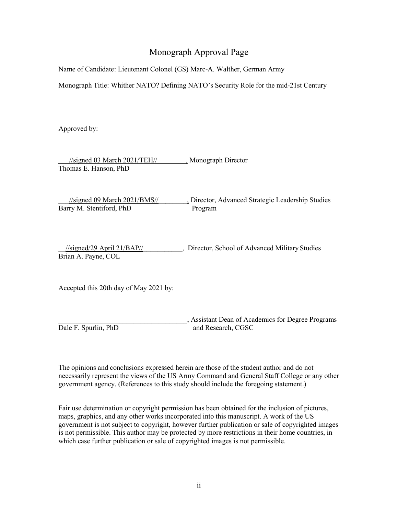# Monograph Approval Page

Name of Candidate: Lieutenant Colonel (GS) Marc-A. Walther, German Army

Monograph Title: Whither NATO? Defining NATO's Security Role for the mid-21st Century

Approved by:

\_\_\_//signed 03 March 2021/TEH//\_\_\_\_\_\_\_\_, Monograph Director Thomas E. Hanson, PhD

\_\_\_//signed 09 March 2021/BMS//\_\_\_\_\_\_\_\_, Director, Advanced Strategic Leadership Studies Barry M. Stentiford, PhD Program

\_\_//signed/29 April 21/BAP//\_\_\_\_\_\_\_\_\_\_\_, Director, School of Advanced Military Studies Brian A. Payne, COL

Accepted this 20th day of May 2021 by:

\_\_\_\_\_\_\_\_\_\_\_\_\_\_\_\_\_\_\_\_\_\_\_\_\_\_\_\_\_\_\_\_\_\_\_\_, Assistant Dean of Academics for Degree Programs Dale F. Spurlin, PhD and Research, CGSC

The opinions and conclusions expressed herein are those of the student author and do not

necessarily represent the views of the US Army Command and General Staff College or any other government agency. (References to this study should include the foregoing statement.)

Fair use determination or copyright permission has been obtained for the inclusion of pictures, maps, graphics, and any other works incorporated into this manuscript. A work of the US government is not subject to copyright, however further publication or sale of copyrighted images is not permissible. This author may be protected by more restrictions in their home countries, in which case further publication or sale of copyrighted images is not permissible.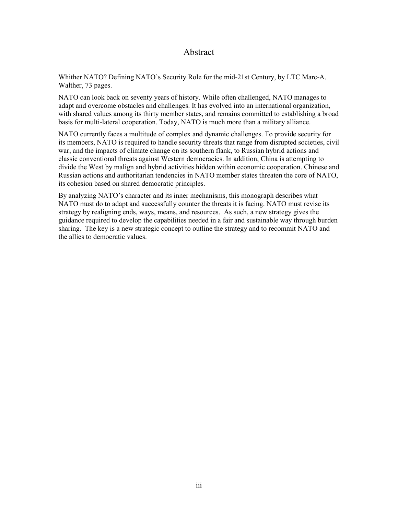# Abstract

<span id="page-3-0"></span>Whither NATO? Defining NATO's Security Role for the mid-21st Century, by LTC Marc-A. Walther, 73 pages.

NATO can look back on seventy years of history. While often challenged, NATO manages to adapt and overcome obstacles and challenges. It has evolved into an international organization, with shared values among its thirty member states, and remains committed to establishing a broad basis for multi-lateral cooperation. Today, NATO is much more than a military alliance.

NATO currently faces a multitude of complex and dynamic challenges. To provide security for its members, NATO is required to handle security threats that range from disrupted societies, civil war, and the impacts of climate change on its southern flank, to Russian hybrid actions and classic conventional threats against Western democracies. In addition, China is attempting to divide the West by malign and hybrid activities hidden within economic cooperation. Chinese and Russian actions and authoritarian tendencies in NATO member states threaten the core of NATO, its cohesion based on shared democratic principles.

By analyzing NATO's character and its inner mechanisms, this monograph describes what NATO must do to adapt and successfully counter the threats it is facing. NATO must revise its strategy by realigning ends, ways, means, and resources. As such, a new strategy gives the guidance required to develop the capabilities needed in a fair and sustainable way through burden sharing. The key is a new strategic concept to outline the strategy and to recommit NATO and the allies to democratic values.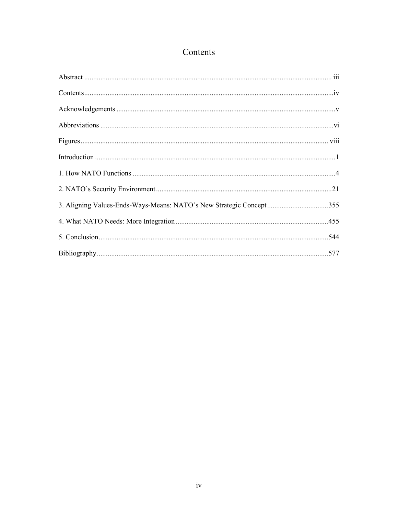# Contents

<span id="page-4-0"></span>

| $Contents \dots 1$                                                  |  |
|---------------------------------------------------------------------|--|
|                                                                     |  |
|                                                                     |  |
|                                                                     |  |
|                                                                     |  |
|                                                                     |  |
|                                                                     |  |
| 3. Aligning Values-Ends-Ways-Means: NATO's New Strategic Concept355 |  |
|                                                                     |  |
|                                                                     |  |
|                                                                     |  |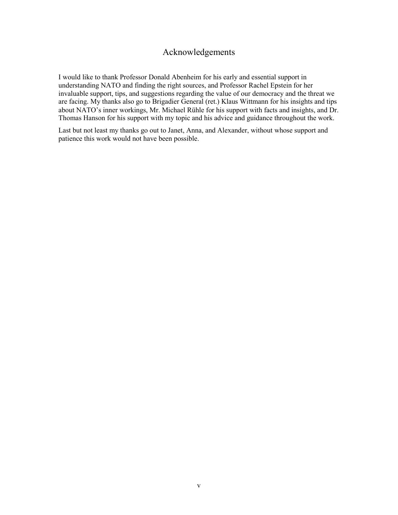# Acknowledgements

<span id="page-5-0"></span>I would like to thank Professor Donald Abenheim for his early and essential support in understanding NATO and finding the right sources, and Professor Rachel Epstein for her invaluable support, tips, and suggestions regarding the value of our democracy and the threat we are facing. My thanks also go to Brigadier General (ret.) Klaus Wittmann for his insights and tips about NATO's inner workings, Mr. Michael Rühle for his support with facts and insights, and Dr. Thomas Hanson for his support with my topic and his advice and guidance throughout the work.

Last but not least my thanks go out to Janet, Anna, and Alexander, without whose support and patience this work would not have been possible.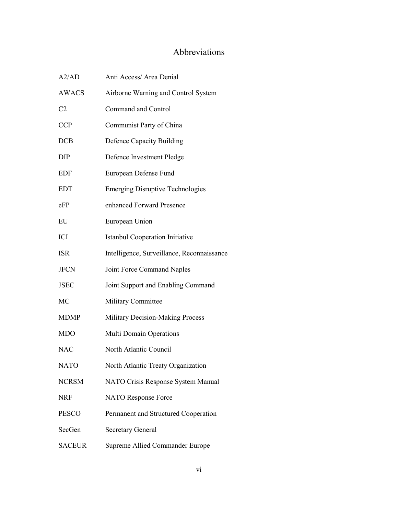# Abbreviations

<span id="page-6-0"></span>

| A2/AD          | Anti Access/ Area Denial                   |
|----------------|--------------------------------------------|
| <b>AWACS</b>   | Airborne Warning and Control System        |
| C <sub>2</sub> | Command and Control                        |
| <b>CCP</b>     | Communist Party of China                   |
| DCB            | Defence Capacity Building                  |
| DIP            | Defence Investment Pledge                  |
| <b>EDF</b>     | European Defense Fund                      |
| EDT            | <b>Emerging Disruptive Technologies</b>    |
| eFP            | enhanced Forward Presence                  |
| EU             | European Union                             |
| ICI            | <b>Istanbul Cooperation Initiative</b>     |
| <b>ISR</b>     | Intelligence, Surveillance, Reconnaissance |
| <b>JFCN</b>    | Joint Force Command Naples                 |
| <b>JSEC</b>    | Joint Support and Enabling Command         |
| МC             | Military Committee                         |
| <b>MDMP</b>    | Military Decision-Making Process           |
| MDO            | Multi Domain Operations                    |
| <b>NAC</b>     | North Atlantic Council                     |
| <b>NATO</b>    | North Atlantic Treaty Organization         |
| <b>NCRSM</b>   | NATO Crisis Response System Manual         |
| NRF            | NATO Response Force                        |
| <b>PESCO</b>   | Permanent and Structured Cooperation       |
| SecGen         | <b>Secretary General</b>                   |
| <b>SACEUR</b>  | Supreme Allied Commander Europe            |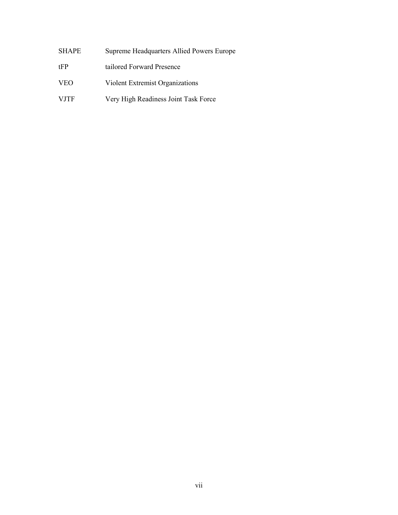| SHAPE | Supreme Headquarters Allied Powers Europe |
|-------|-------------------------------------------|
|-------|-------------------------------------------|

- tFP tailored Forward Presence
- VEO Violent Extremist Organizations
- VJTF Very High Readiness Joint Task Force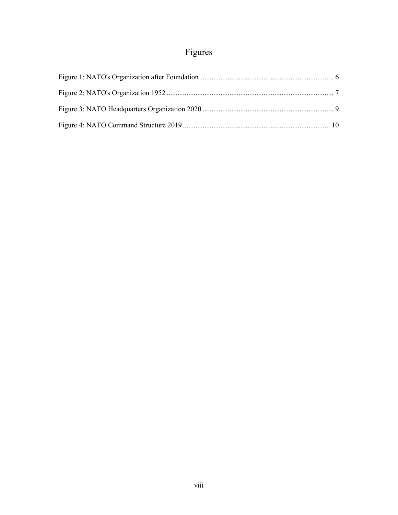# Figures

<span id="page-8-0"></span>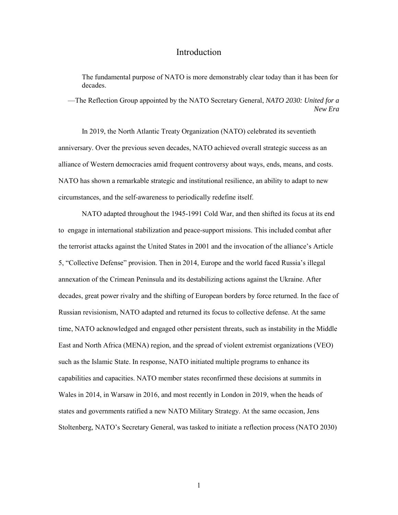# Introduction

<span id="page-9-0"></span>The fundamental purpose of NATO is more demonstrably clear today than it has been for decades.

—The Reflection Group appointed by the NATO Secretary General, *NATO 2030: United for a New Era*

In 2019, the North Atlantic Treaty Organization (NATO) celebrated its seventieth anniversary. Over the previous seven decades, NATO achieved overall strategic success as an alliance of Western democracies amid frequent controversy about ways, ends, means, and costs. NATO has shown a remarkable strategic and institutional resilience, an ability to adapt to new circumstances, and the self-awareness to periodically redefine itself.

NATO adapted throughout the 1945-1991 Cold War, and then shifted its focus at its end to engage in international stabilization and peace-support missions. This included combat after the terrorist attacks against the United States in 2001 and the invocation of the alliance's Article 5, "Collective Defense" provision. Then in 2014, Europe and the world faced Russia's illegal annexation of the Crimean Peninsula and its destabilizing actions against the Ukraine. After decades, great power rivalry and the shifting of European borders by force returned. In the face of Russian revisionism, NATO adapted and returned its focus to collective defense. At the same time, NATO acknowledged and engaged other persistent threats, such as instability in the Middle East and North Africa (MENA) region, and the spread of violent extremist organizations (VEO) such as the Islamic State. In response, NATO initiated multiple programs to enhance its capabilities and capacities. NATO member states reconfirmed these decisions at summits in Wales in 2014, in Warsaw in 2016, and most recently in London in 2019, when the heads of states and governments ratified a new NATO Military Strategy. At the same occasion, Jens Stoltenberg, NATO's Secretary General, was tasked to initiate a reflection process (NATO 2030)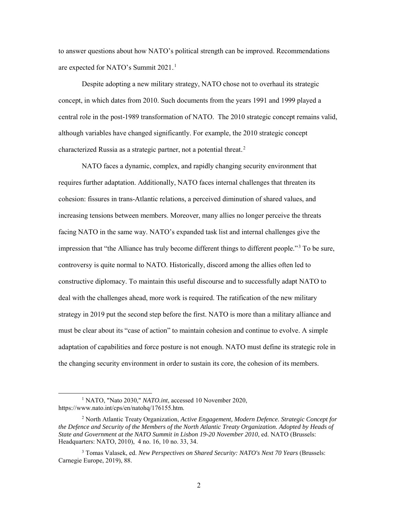to answer questions about how NATO's political strength can be improved. Recommendations are expected for NATO's Summit 2021.<sup>1</sup>

Despite adopting a new military strategy, NATO chose not to overhaul its strategic concept, in which dates from 2010. Such documents from the years 1991 and 1999 played a central role in the post-1989 transformation of NATO. The 2010 strategic concept remains valid, although variables have changed significantly. For example, the 2010 strategic concept characterized Russia as a strategic partner, not a potential threat.<sup>2</sup>

NATO faces a dynamic, complex, and rapidly changing security environment that requires further adaptation. Additionally, NATO faces internal challenges that threaten its cohesion: fissures in trans-Atlantic relations, a perceived diminution of shared values, and increasing tensions between members. Moreover, many allies no longer perceive the threats facing NATO in the same way. NATO's expanded task list and internal challenges give the impression that "the Alliance has truly become different things to different people."<sup>3</sup> To be sure, controversy is quite normal to NATO. Historically, discord among the allies often led to constructive diplomacy. To maintain this useful discourse and to successfully adapt NATO to deal with the challenges ahead, more work is required. The ratification of the new military strategy in 2019 put the second step before the first. NATO is more than a military alliance and must be clear about its "case of action" to maintain cohesion and continue to evolve. A simple adaptation of capabilities and force posture is not enough. NATO must define its strategic role in the changing security environment in order to sustain its core, the cohesion of its members.

 <sup>1</sup> NATO, "Nato 2030," *NATO.int*, accessed 10 November 2020, https://www.nato.int/cps/en/natohq/176155.htm.

<sup>2</sup> North Atlantic Treaty Organization, *Active Engagement, Modern Defence. Strategic Concept for the Defence and Security of the Members of the North Atlantic Treaty Organization. Adopted by Heads of State and Government at the NATO Summit in Lisbon 19-20 November 2010*, ed. NATO (Brussels: Headquarters: NATO, 2010), 4 no. 16, 10 no. 33, 34.

<sup>3</sup> Tomas Valasek, ed. *New Perspectives on Shared Security: NATO's Next 70 Years* (Brussels: Carnegie Europe, 2019), 88.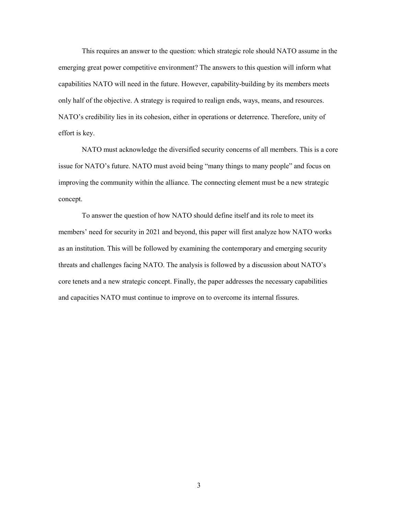This requires an answer to the question: which strategic role should NATO assume in the emerging great power competitive environment? The answers to this question will inform what capabilities NATO will need in the future. However, capability-building by its members meets only half of the objective. A strategy is required to realign ends, ways, means, and resources. NATO's credibility lies in its cohesion, either in operations or deterrence. Therefore, unity of effort is key.

NATO must acknowledge the diversified security concerns of all members. This is a core issue for NATO's future. NATO must avoid being "many things to many people" and focus on improving the community within the alliance. The connecting element must be a new strategic concept.

To answer the question of how NATO should define itself and its role to meet its members' need for security in 2021 and beyond, this paper will first analyze how NATO works as an institution. This will be followed by examining the contemporary and emerging security threats and challenges facing NATO. The analysis is followed by a discussion about NATO's core tenets and a new strategic concept. Finally, the paper addresses the necessary capabilities and capacities NATO must continue to improve on to overcome its internal fissures.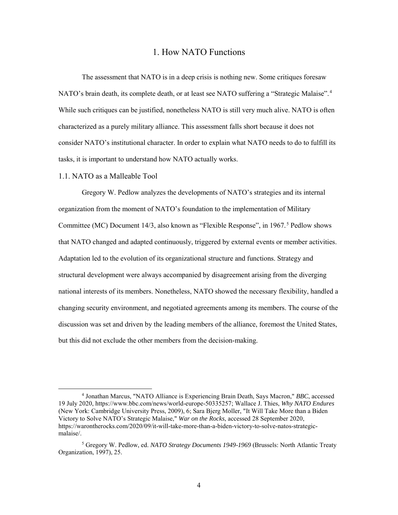# 1. How NATO Functions

<span id="page-12-0"></span>The assessment that NATO is in a deep crisis is nothing new. Some critiques foresaw NATO's brain death, its complete death, or at least see NATO suffering a "Strategic Malaise".4 While such critiques can be justified, nonetheless NATO is still very much alive. NATO is often characterized as a purely military alliance. This assessment falls short because it does not consider NATO's institutional character. In order to explain what NATO needs to do to fulfill its tasks, it is important to understand how NATO actually works.

#### 1.1. NATO as a Malleable Tool

Gregory W. Pedlow analyzes the developments of NATO's strategies and its internal organization from the moment of NATO's foundation to the implementation of Military Committee (MC) Document 14/3, also known as "Flexible Response", in 1967.<sup>5</sup> Pedlow shows that NATO changed and adapted continuously, triggered by external events or member activities. Adaptation led to the evolution of its organizational structure and functions. Strategy and structural development were always accompanied by disagreement arising from the diverging national interests of its members. Nonetheless, NATO showed the necessary flexibility, handled a changing security environment, and negotiated agreements among its members. The course of the discussion was set and driven by the leading members of the alliance, foremost the United States, but this did not exclude the other members from the decision-making.

 <sup>4</sup> Jonathan Marcus, "NATO Alliance is Experiencing Brain Death, Says Macron," *BBC*, accessed 19 July 2020, https://www.bbc.com/news/world-europe-50335257; Wallace J. Thies, *Why NATO Endures* (New York: Cambridge University Press, 2009), 6; Sara Bjerg Moller, "It Will Take More than a Biden Victory to Solve NATO's Strategic Malaise," *War on the Rocks*, accessed 28 September 2020, https://warontherocks.com/2020/09/it-will-take-more-than-a-biden-victory-to-solve-natos-strategicmalaise/.

<sup>5</sup> Gregory W. Pedlow, ed. *NATO Strategy Documents 1949-1969* (Brussels: North Atlantic Treaty Organization, 1997), 25.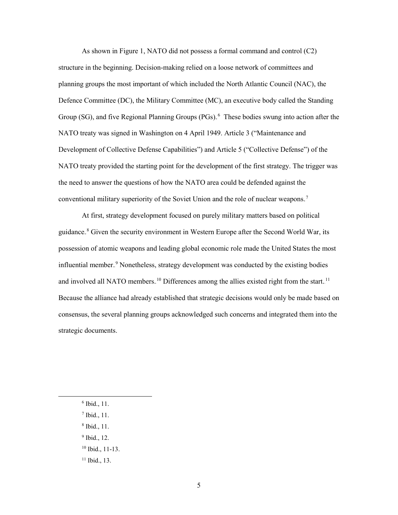As shown in Figure 1, NATO did not possess a formal command and control (C2) structure in the beginning. Decision-making relied on a loose network of committees and planning groups the most important of which included the North Atlantic Council (NAC), the Defence Committee (DC), the Military Committee (MC), an executive body called the Standing Group (SG), and five Regional Planning Groups (PGs).<sup>6</sup> These bodies swung into action after the NATO treaty was signed in Washington on 4 April 1949. Article 3 ("Maintenance and Development of Collective Defense Capabilities") and Article 5 ("Collective Defense") of the NATO treaty provided the starting point for the development of the first strategy. The trigger was the need to answer the questions of how the NATO area could be defended against the conventional military superiority of the Soviet Union and the role of nuclear weapons.<sup>7</sup>

At first, strategy development focused on purely military matters based on political guidance.<sup>8</sup> Given the security environment in Western Europe after the Second World War, its possession of atomic weapons and leading global economic role made the United States the most influential member.<sup>9</sup> Nonetheless, strategy development was conducted by the existing bodies and involved all NATO members.<sup>10</sup> Differences among the allies existed right from the start.<sup>11</sup> Because the alliance had already established that strategic decisions would only be made based on consensus, the several planning groups acknowledged such concerns and integrated them into the strategic documents.

- $6$  Ibid., 11.
- <sup>7</sup> Ibid., 11.
- <sup>8</sup> Ibid., 11.
- <sup>9</sup> Ibid., 12.
- <sup>10</sup> Ibid., 11-13.
- <sup>11</sup> Ibid., 13.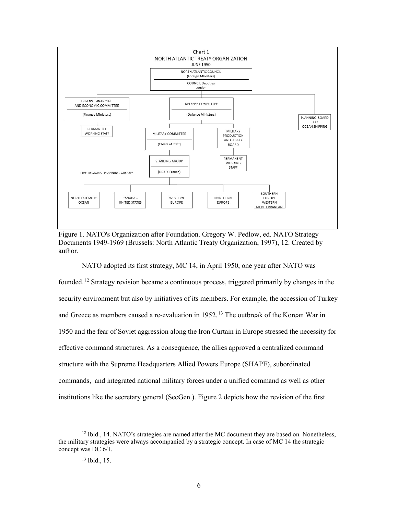<span id="page-14-0"></span>

Figure 1. NATO's Organization after Foundation. Gregory W. Pedlow, ed. NATO Strategy Documents 1949-1969 (Brussels: North Atlantic Treaty Organization, 1997), 12. Created by author.

NATO adopted its first strategy, MC 14, in April 1950, one year after NATO was founded.<sup>12</sup> Strategy revision became a continuous process, triggered primarily by changes in the security environment but also by initiatives of its members. For example, the accession of Turkey and Greece as members caused a re-evaluation in 1952.<sup>13</sup> The outbreak of the Korean War in 1950 and the fear of Soviet aggression along the Iron Curtain in Europe stressed the necessity for effective command structures. As a consequence, the allies approved a centralized command structure with the Supreme Headquarters Allied Powers Europe (SHAPE), subordinated commands, and integrated national military forces under a unified command as well as other institutions like the secretary general (SecGen.). Figure 2 depicts how the revision of the first

 $12$  Ibid., 14. NATO's strategies are named after the MC document they are based on. Nonetheless, the military strategies were always accompanied by a strategic concept. In case of MC 14 the strategic concept was DC 6/1.

<sup>13</sup> Ibid., 15.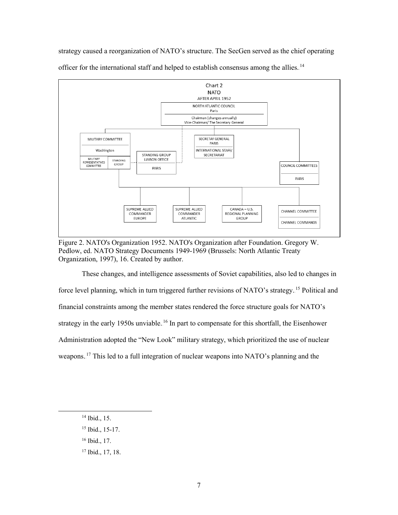<span id="page-15-0"></span>strategy caused a reorganization of NATO's structure. The SecGen served as the chief operating



officer for the international staff and helped to establish consensus among the allies.<sup>14</sup>

Figure 2. NATO's Organization 1952. NATO's Organization after Foundation. Gregory W. Pedlow, ed. NATO Strategy Documents 1949-1969 (Brussels: North Atlantic Treaty Organization, 1997), 16. Created by author.

These changes, and intelligence assessments of Soviet capabilities, also led to changes in force level planning, which in turn triggered further revisions of NATO's strategy.<sup>15</sup> Political and financial constraints among the member states rendered the force structure goals for NATO's strategy in the early 1950s unviable.<sup>16</sup> In part to compensate for this shortfall, the Eisenhower Administration adopted the "New Look" military strategy, which prioritized the use of nuclear weapons.<sup>17</sup> This led to a full integration of nuclear weapons into NATO's planning and the

- <sup>16</sup> Ibid., 17.
- <sup>17</sup> Ibid., 17, 18.

 <sup>14</sup> Ibid., 15.

<sup>15</sup> Ibid., 15-17.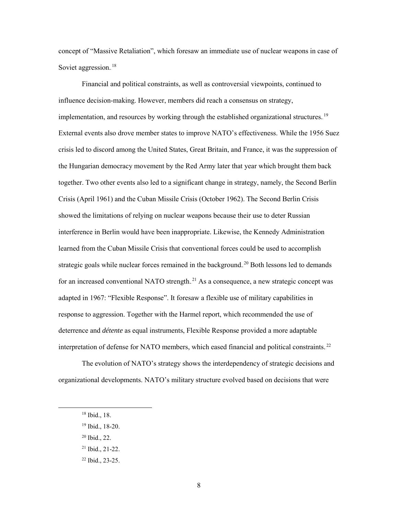concept of "Massive Retaliation", which foresaw an immediate use of nuclear weapons in case of Soviet aggression.<sup>18</sup>

Financial and political constraints, as well as controversial viewpoints, continued to influence decision-making. However, members did reach a consensus on strategy, implementation, and resources by working through the established organizational structures.<sup>19</sup> External events also drove member states to improve NATO's effectiveness. While the 1956 Suez crisis led to discord among the United States, Great Britain, and France, it was the suppression of the Hungarian democracy movement by the Red Army later that year which brought them back together. Two other events also led to a significant change in strategy, namely, the Second Berlin Crisis (April 1961) and the Cuban Missile Crisis (October 1962). The Second Berlin Crisis showed the limitations of relying on nuclear weapons because their use to deter Russian interference in Berlin would have been inappropriate. Likewise, the Kennedy Administration learned from the Cuban Missile Crisis that conventional forces could be used to accomplish strategic goals while nuclear forces remained in the background.<sup>20</sup> Both lessons led to demands for an increased conventional NATO strength.<sup>21</sup> As a consequence, a new strategic concept was adapted in 1967: "Flexible Response". It foresaw a flexible use of military capabilities in response to aggression. Together with the Harmel report, which recommended the use of deterrence and *détente* as equal instruments, Flexible Response provided a more adaptable interpretation of defense for NATO members, which eased financial and political constraints.<sup>22</sup>

The evolution of NATO's strategy shows the interdependency of strategic decisions and organizational developments. NATO's military structure evolved based on decisions that were

 <sup>18</sup> Ibid., 18.

<sup>19</sup> Ibid., 18-20.

<sup>20</sup> Ibid., 22.

<sup>21</sup> Ibid., 21-22.

<sup>22</sup> Ibid., 23-25.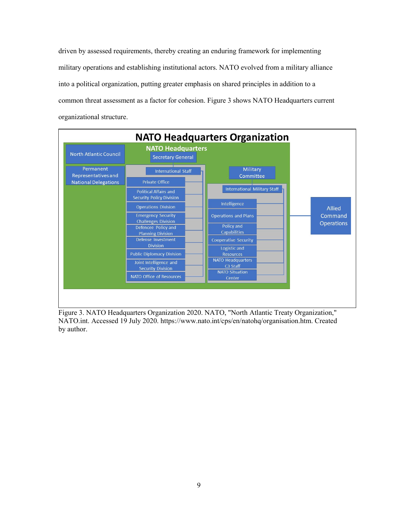driven by assessed requirements, thereby creating an enduring framework for implementing military operations and establishing institutional actors. NATO evolved from a military alliance into a political organization, putting greater emphasis on shared principles in addition to a common threat assessment as a factor for cohesion. Figure 3 shows NATO Headquarters current organizational structure.

<span id="page-17-0"></span>

Figure 3. NATO Headquarters Organization 2020. NATO, "North Atlantic Treaty Organization," NATO.int. Accessed 19 July 2020. https://www.nato.int/cps/en/natohq/organisation.htm. Created by author.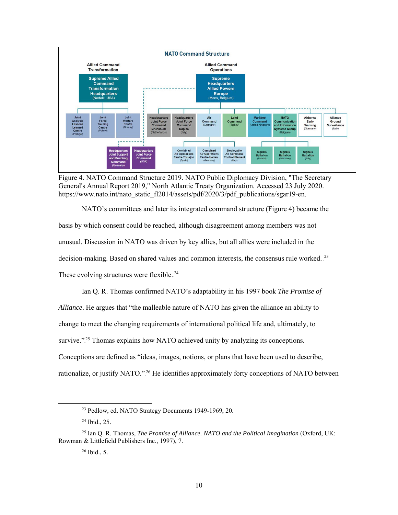<span id="page-18-0"></span>

Figure 4. NATO Command Structure 2019. NATO Public Diplomacy Division, "The Secretary General's Annual Report 2019," North Atlantic Treaty Organization. Accessed 23 July 2020. https://www.nato.int/nato\_static\_fl2014/assets/pdf/2020/3/pdf\_publications/sgar19-en.

NATO's committees and later its integrated command structure (Figure 4) became the basis by which consent could be reached, although disagreement among members was not unusual. Discussion in NATO was driven by key allies, but all allies were included in the decision-making. Based on shared values and common interests, the consensus rule worked.<sup>23</sup> These evolving structures were flexible.<sup>24</sup>

Ian Q. R. Thomas confirmed NATO's adaptability in his 1997 book *The Promise of Alliance*. He argues that "the malleable nature of NATO has given the alliance an ability to change to meet the changing requirements of international political life and, ultimately, to survive."<sup>25</sup> Thomas explains how NATO achieved unity by analyzing its conceptions. Conceptions are defined as "ideas, images, notions, or plans that have been used to describe, rationalize, or justify NATO."<sup>26</sup> He identifies approximately forty conceptions of NATO between

 <sup>23</sup> Pedlow, ed. NATO Strategy Documents 1949-1969, 20.

<sup>24</sup> Ibid., 25.

<sup>25</sup> Ian Q. R. Thomas, *The Promise of Alliance. NATO and the Political Imagination* (Oxford, UK: Rowman & Littlefield Publishers Inc., 1997), 7.

<sup>26</sup> Ibid., 5.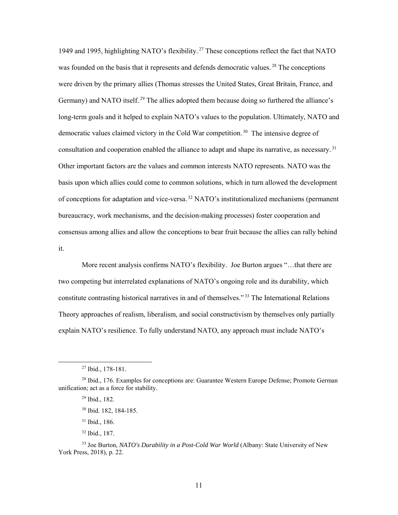1949 and 1995, highlighting NATO's flexibility.<sup>27</sup> These conceptions reflect the fact that NATO was founded on the basis that it represents and defends democratic values.<sup>28</sup> The conceptions were driven by the primary allies (Thomas stresses the United States, Great Britain, France, and Germany) and NATO itself.<sup>29</sup> The allies adopted them because doing so furthered the alliance's long-term goals and it helped to explain NATO's values to the population. Ultimately, NATO and democratic values claimed victory in the Cold War competition.<sup>30</sup> The intensive degree of consultation and cooperation enabled the alliance to adapt and shape its narrative, as necessary.<sup>31</sup> Other important factors are the values and common interests NATO represents. NATO was the basis upon which allies could come to common solutions, which in turn allowed the development of conceptions for adaptation and vice-versa.<sup>32</sup> NATO's institutionalized mechanisms (permanent bureaucracy, work mechanisms, and the decision-making processes) foster cooperation and consensus among allies and allow the conceptions to bear fruit because the allies can rally behind it.

More recent analysis confirms NATO's flexibility. Joe Burton argues "…that there are two competing but interrelated explanations of NATO's ongoing role and its durability, which constitute contrasting historical narratives in and of themselves."<sup>33</sup> The International Relations Theory approaches of realism, liberalism, and social constructivism by themselves only partially explain NATO's resilience. To fully understand NATO, any approach must include NATO's

<sup>32</sup> Ibid., 187.

 <sup>27</sup> Ibid., 178-181.

<sup>&</sup>lt;sup>28</sup> Ibid., 176. Examples for conceptions are: Guarantee Western Europe Defense; Promote German unification; act as a force for stability.

<sup>29</sup> Ibid., 182.

<sup>30</sup> Ibid. 182, 184-185.

<sup>31</sup> Ibid., 186.

<sup>33</sup> Joe Burton, *NATO's Durability in a Post-Cold War World* (Albany: State University of New York Press, 2018), p. 22.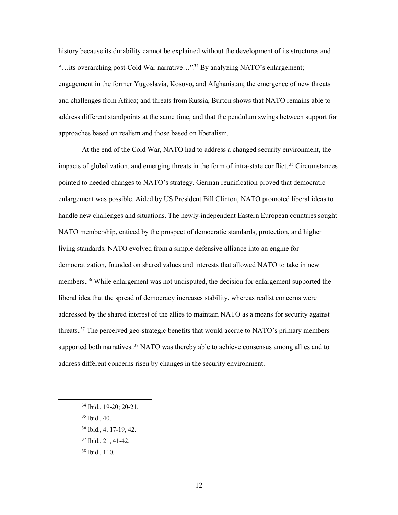history because its durability cannot be explained without the development of its structures and "...its overarching post-Cold War narrative..."<sup>34</sup> By analyzing NATO's enlargement; engagement in the former Yugoslavia, Kosovo, and Afghanistan; the emergence of new threats and challenges from Africa; and threats from Russia, Burton shows that NATO remains able to address different standpoints at the same time, and that the pendulum swings between support for approaches based on realism and those based on liberalism.

At the end of the Cold War, NATO had to address a changed security environment, the impacts of globalization, and emerging threats in the form of intra-state conflict.<sup>35</sup> Circumstances pointed to needed changes to NATO's strategy. German reunification proved that democratic enlargement was possible. Aided by US President Bill Clinton, NATO promoted liberal ideas to handle new challenges and situations. The newly-independent Eastern European countries sought NATO membership, enticed by the prospect of democratic standards, protection, and higher living standards. NATO evolved from a simple defensive alliance into an engine for democratization, founded on shared values and interests that allowed NATO to take in new members.<sup>36</sup> While enlargement was not undisputed, the decision for enlargement supported the liberal idea that the spread of democracy increases stability, whereas realist concerns were addressed by the shared interest of the allies to maintain NATO as a means for security against threats.<sup>37</sup> The perceived geo-strategic benefits that would accrue to NATO's primary members supported both narratives.<sup>38</sup> NATO was thereby able to achieve consensus among allies and to address different concerns risen by changes in the security environment.

- <sup>35</sup> Ibid., 40.
- <sup>36</sup> Ibid., 4, 17-19, 42.
- <sup>37</sup> Ibid., 21, 41-42.
- <sup>38</sup> Ibid., 110.

 <sup>34</sup> Ibid., 19-20; 20-21.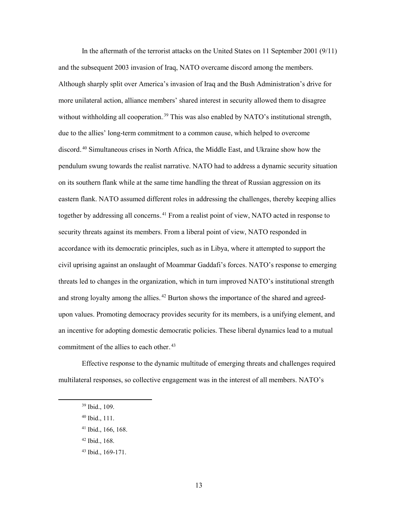In the aftermath of the terrorist attacks on the United States on 11 September 2001 (9/11) and the subsequent 2003 invasion of Iraq, NATO overcame discord among the members. Although sharply split over America's invasion of Iraq and the Bush Administration's drive for more unilateral action, alliance members' shared interest in security allowed them to disagree without withholding all cooperation.<sup>39</sup> This was also enabled by NATO's institutional strength, due to the allies' long-term commitment to a common cause, which helped to overcome discord.<sup>40</sup> Simultaneous crises in North Africa, the Middle East, and Ukraine show how the pendulum swung towards the realist narrative. NATO had to address a dynamic security situation on its southern flank while at the same time handling the threat of Russian aggression on its eastern flank. NATO assumed different roles in addressing the challenges, thereby keeping allies together by addressing all concerns. <sup>41</sup> From a realist point of view, NATO acted in response to security threats against its members. From a liberal point of view, NATO responded in accordance with its democratic principles, such as in Libya, where it attempted to support the civil uprising against an onslaught of Moammar Gaddafi's forces. NATO's response to emerging threats led to changes in the organization, which in turn improved NATO's institutional strength and strong loyalty among the allies.<sup>42</sup> Burton shows the importance of the shared and agreedupon values. Promoting democracy provides security for its members, is a unifying element, and an incentive for adopting domestic democratic policies. These liberal dynamics lead to a mutual commitment of the allies to each other.<sup>43</sup>

Effective response to the dynamic multitude of emerging threats and challenges required multilateral responses, so collective engagement was in the interest of all members. NATO's

 <sup>39</sup> Ibid., 109.

<sup>40</sup> Ibid., 111.

<sup>41</sup> Ibid., 166, 168.

<sup>42</sup> Ibid., 168.

<sup>43</sup> Ibid., 169-171.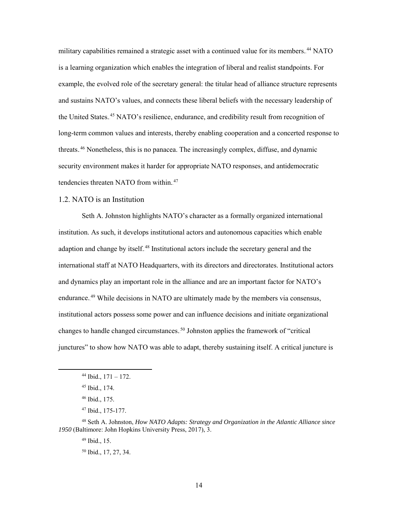military capabilities remained a strategic asset with a continued value for its members.<sup>44</sup> NATO is a learning organization which enables the integration of liberal and realist standpoints. For example, the evolved role of the secretary general: the titular head of alliance structure represents and sustains NATO's values, and connects these liberal beliefs with the necessary leadership of the United States.<sup>45</sup> NATO's resilience, endurance, and credibility result from recognition of long-term common values and interests, thereby enabling cooperation and a concerted response to threats.<sup>46</sup> Nonetheless, this is no panacea. The increasingly complex, diffuse, and dynamic security environment makes it harder for appropriate NATO responses, and antidemocratic tendencies threaten NATO from within.<sup>47</sup>

## 1.2. NATO is an Institution

Seth A. Johnston highlights NATO's character as a formally organized international institution. As such, it develops institutional actors and autonomous capacities which enable adaption and change by itself.<sup>48</sup> Institutional actors include the secretary general and the international staff at NATO Headquarters, with its directors and directorates. Institutional actors and dynamics play an important role in the alliance and are an important factor for NATO's endurance.<sup>49</sup> While decisions in NATO are ultimately made by the members via consensus, institutional actors possess some power and can influence decisions and initiate organizational changes to handle changed circumstances.<sup>50</sup> Johnston applies the framework of "critical junctures" to show how NATO was able to adapt, thereby sustaining itself. A critical juncture is

 $44$  Ibid.,  $171 - 172$ .

<sup>45</sup> Ibid., 174.

<sup>46</sup> Ibid., 175.

<sup>47</sup> Ibid., 175-177.

<sup>48</sup> Seth A. Johnston, *How NATO Adapts: Strategy and Organization in the Atlantic Alliance since 1950* (Baltimore: John Hopkins University Press, 2017), 3.

<sup>49</sup> Ibid., 15.

<sup>50</sup> Ibid., 17, 27, 34.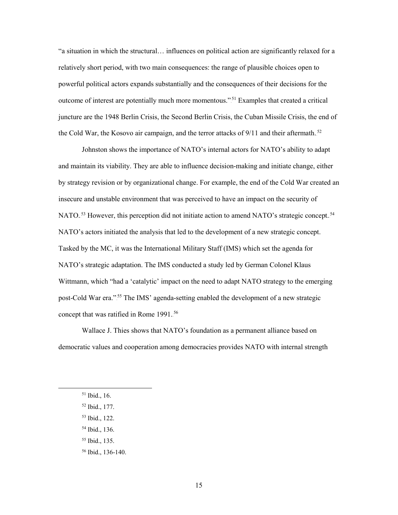"a situation in which the structural… influences on political action are significantly relaxed for a relatively short period, with two main consequences: the range of plausible choices open to powerful political actors expands substantially and the consequences of their decisions for the outcome of interest are potentially much more momentous."<sup>51</sup> Examples that created a critical juncture are the 1948 Berlin Crisis, the Second Berlin Crisis, the Cuban Missile Crisis, the end of the Cold War, the Kosovo air campaign, and the terror attacks of  $9/11$  and their aftermath.<sup>52</sup>

Johnston shows the importance of NATO's internal actors for NATO's ability to adapt and maintain its viability. They are able to influence decision-making and initiate change, either by strategy revision or by organizational change. For example, the end of the Cold War created an insecure and unstable environment that was perceived to have an impact on the security of NATO.<sup>53</sup> However, this perception did not initiate action to amend NATO's strategic concept.<sup>54</sup> NATO's actors initiated the analysis that led to the development of a new strategic concept. Tasked by the MC, it was the International Military Staff (IMS) which set the agenda for NATO's strategic adaptation. The IMS conducted a study led by German Colonel Klaus Wittmann, which "had a 'catalytic' impact on the need to adapt NATO strategy to the emerging post-Cold War era."<sup>55</sup> The IMS' agenda-setting enabled the development of a new strategic concept that was ratified in Rome 1991.<sup>56</sup>

Wallace J. Thies shows that NATO's foundation as a permanent alliance based on democratic values and cooperation among democracies provides NATO with internal strength

- <sup>52</sup> Ibid., 177.
- <sup>53</sup> Ibid., 122.
- <sup>54</sup> Ibid., 136.
- <sup>55</sup> Ibid., 135.
- <sup>56</sup> Ibid., 136-140.

 <sup>51</sup> Ibid., 16.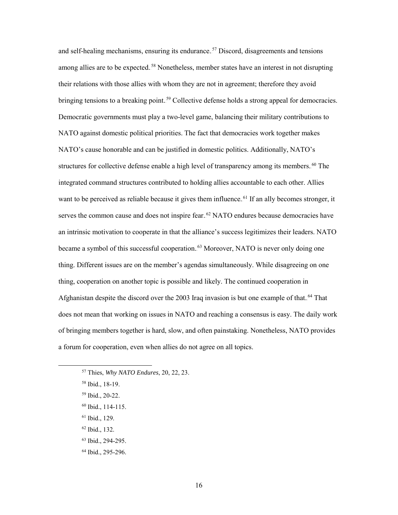and self-healing mechanisms, ensuring its endurance.<sup>57</sup> Discord, disagreements and tensions among allies are to be expected.<sup>58</sup> Nonetheless, member states have an interest in not disrupting their relations with those allies with whom they are not in agreement; therefore they avoid bringing tensions to a breaking point.<sup>59</sup> Collective defense holds a strong appeal for democracies. Democratic governments must play a two-level game, balancing their military contributions to NATO against domestic political priorities. The fact that democracies work together makes NATO's cause honorable and can be justified in domestic politics. Additionally, NATO's structures for collective defense enable a high level of transparency among its members.<sup>60</sup> The integrated command structures contributed to holding allies accountable to each other. Allies want to be perceived as reliable because it gives them influence.<sup>61</sup> If an ally becomes stronger, it serves the common cause and does not inspire fear.<sup>62</sup> NATO endures because democracies have an intrinsic motivation to cooperate in that the alliance's success legitimizes their leaders. NATO became a symbol of this successful cooperation.<sup>63</sup> Moreover, NATO is never only doing one thing. Different issues are on the member's agendas simultaneously. While disagreeing on one thing, cooperation on another topic is possible and likely. The continued cooperation in Afghanistan despite the discord over the 2003 Iraq invasion is but one example of that.<sup>64</sup> That does not mean that working on issues in NATO and reaching a consensus is easy. The daily work of bringing members together is hard, slow, and often painstaking. Nonetheless, NATO provides a forum for cooperation, even when allies do not agree on all topics.

- <sup>60</sup> Ibid., 114-115.
- <sup>61</sup> Ibid., 129.
- <sup>62</sup> Ibid., 132.
- <sup>63</sup> Ibid., 294-295.
- <sup>64</sup> Ibid., 295-296.

 <sup>57</sup> Thies, *Why NATO Endures*, 20, 22, 23.

<sup>58</sup> Ibid., 18-19.

<sup>59</sup> Ibid., 20-22.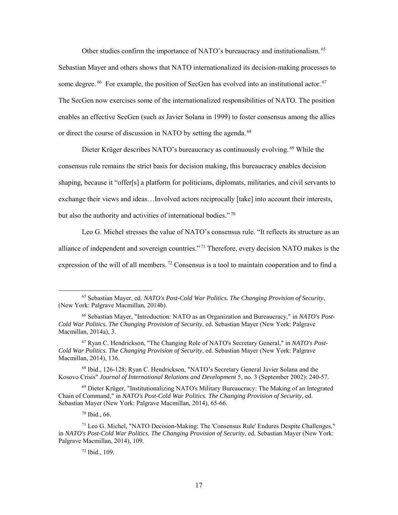Other studies confirm the importance of NATO's bureaucracy and institutionalism.<sup>65</sup> Sebastian Mayer and others shows that NATO internationalized its decision-making processes to some degree.<sup>66</sup> For example, the position of SecGen has evolved into an institutional actor.<sup>67</sup> The SecGen now exercises some of the internationalized responsibilities of NATO. The position enables an effective SecGen (such as Javier Solana in 1999) to foster consensus among the allies or direct the course of discussion in NATO by setting the agenda.<sup>68</sup>

Dieter Krüger describes NATO's bureaucracy as continuously evolving.<sup>69</sup> While the consensus rule remains the strict basis for decision making, this bureaucracy enables decision shaping, because it "offer[s] a platform for politicians, diplomats, militaries, and civil servants to exchange their views and ideas…Involved actors reciprocally [take] into account their interests, but also the authority and activities of international bodies."<sup>70</sup>

Leo G. Michel stresses the value of NATO's consensus rule. "It reflects its structure as an alliance of independent and sovereign countries."<sup>71</sup> Therefore, every decision NATO makes is the expression of the will of all members.<sup>72</sup> Consensus is a tool to maintain cooperation and to find a

<sup>67</sup> Ryan C. Hendrickson, "The Changing Role of NATO's Secretary General," in *NATO's Post-Cold War Politics. The Changing Provision of Security*, ed. Sebastian Mayer (New York: Palgrave Macmillan, 2014), 136.

<sup>68</sup> Ibid., 126-128; Ryan C. Hendrickson, "NATO's Secretary General Javier Solana and the Kosovo Crisis" *Journal of International Relations and Development* 5, no. 3 (September 2002): 240-57.

<sup>69</sup> Dieter Krüger, "Institutionalizing NATO's Military Bureaucracy: The Making of an Integrated Chain of Command," in *NATO's Post-Cold War Politics. The Changing Provision of Security*, ed. Sebastian Mayer (New York: Palgrave Macmillan, 2014), 65-66.

<sup>70</sup> Ibid., 66.

 <sup>65</sup> Sebastian Mayer, ed. *NATO's Post-Cold War Politics. The Changing Provision of Security*, (New York: Palgrave Macmillan, 2014b).

<sup>66</sup> Sebastian Mayer, "Introduction: NATO as an Organization and Bureaucracy," in *NATO's Post-Cold War Politics. The Changing Provision of Security*, ed. Sebastian Mayer (New York: Palgrave Macmillan, 2014a), 3.

<sup>71</sup> Leo G. Michel, "NATO Decision-Making: The 'Consensus Rule' Endures Despite Challenges," in *NATO's Post-Cold War Politics. The Changing Provision of Security*, ed. Sebastian Mayer (New York: Palgrave Macmillan, 2014), 109.

<sup>72</sup> Ibid., 109.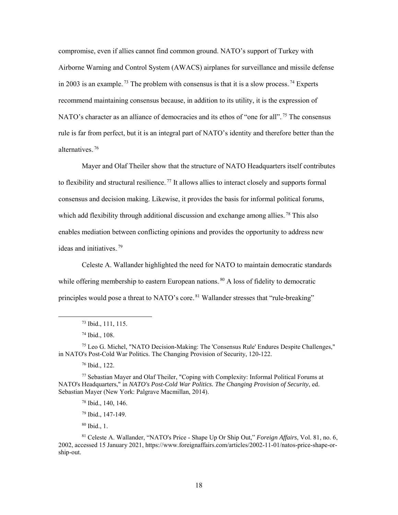compromise, even if allies cannot find common ground. NATO's support of Turkey with Airborne Warning and Control System (AWACS) airplanes for surveillance and missile defense in 2003 is an example.<sup>73</sup> The problem with consensus is that it is a slow process.<sup>74</sup> Experts recommend maintaining consensus because, in addition to its utility, it is the expression of NATO's character as an alliance of democracies and its ethos of "one for all".<sup>75</sup> The consensus rule is far from perfect, but it is an integral part of NATO's identity and therefore better than the alternatives.<sup>76</sup>

Mayer and Olaf Theiler show that the structure of NATO Headquarters itself contributes to flexibility and structural resilience.<sup>77</sup> It allows allies to interact closely and supports formal consensus and decision making. Likewise, it provides the basis for informal political forums, which add flexibility through additional discussion and exchange among allies.<sup>78</sup> This also enables mediation between conflicting opinions and provides the opportunity to address new ideas and initiatives.<sup>79</sup>

Celeste A. Wallander highlighted the need for NATO to maintain democratic standards while offering membership to eastern European nations.<sup>80</sup> A loss of fidelity to democratic principles would pose a threat to NATO's core.<sup>81</sup> Wallander stresses that "rule-breaking"

<sup>80</sup> Ibid., 1.

 <sup>73</sup> Ibid., 111, 115.

<sup>74</sup> Ibid., 108.

 $75$  Leo G. Michel, "NATO Decision-Making: The 'Consensus Rule' Endures Despite Challenges," in NATO's Post-Cold War Politics. The Changing Provision of Security, 120-122.

<sup>76</sup> Ibid., 122.

 $77$  Sebastian Mayer and Olaf Theiler, "Coping with Complexity: Informal Political Forums at NATO's Headquarters," in *NATO's Post-Cold War Politics. The Changing Provision of Security*, ed. Sebastian Mayer (New York: Palgrave Macmillan, 2014).

<sup>78</sup> Ibid., 140, 146.

<sup>79</sup> Ibid., 147-149.

<sup>81</sup> Celeste A. Wallander, "NATO's Price - Shape Up Or Ship Out," *Foreign Affairs*, Vol. 81, no. 6, 2002, accessed 15 January 2021, https://www.foreignaffairs.com/articles/2002-11-01/natos-price-shape-orship-out.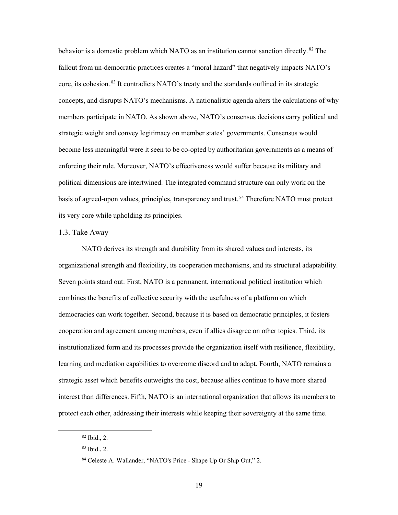behavior is a domestic problem which NATO as an institution cannot sanction directly.<sup>82</sup> The fallout from un-democratic practices creates a "moral hazard" that negatively impacts NATO's core, its cohesion.<sup>83</sup> It contradicts NATO's treaty and the standards outlined in its strategic concepts, and disrupts NATO's mechanisms. A nationalistic agenda alters the calculations of why members participate in NATO. As shown above, NATO's consensus decisions carry political and strategic weight and convey legitimacy on member states' governments. Consensus would become less meaningful were it seen to be co-opted by authoritarian governments as a means of enforcing their rule. Moreover, NATO's effectiveness would suffer because its military and political dimensions are intertwined. The integrated command structure can only work on the basis of agreed-upon values, principles, transparency and trust.<sup>84</sup> Therefore NATO must protect its very core while upholding its principles.

### 1.3. Take Away

NATO derives its strength and durability from its shared values and interests, its organizational strength and flexibility, its cooperation mechanisms, and its structural adaptability. Seven points stand out: First, NATO is a permanent, international political institution which combines the benefits of collective security with the usefulness of a platform on which democracies can work together. Second, because it is based on democratic principles, it fosters cooperation and agreement among members, even if allies disagree on other topics. Third, its institutionalized form and its processes provide the organization itself with resilience, flexibility, learning and mediation capabilities to overcome discord and to adapt. Fourth, NATO remains a strategic asset which benefits outweighs the cost, because allies continue to have more shared interest than differences. Fifth, NATO is an international organization that allows its members to protect each other, addressing their interests while keeping their sovereignty at the same time.

 <sup>82</sup> Ibid., 2.

<sup>83</sup> Ibid., 2.

<sup>84</sup> Celeste A. Wallander, "NATO's Price - Shape Up Or Ship Out," 2.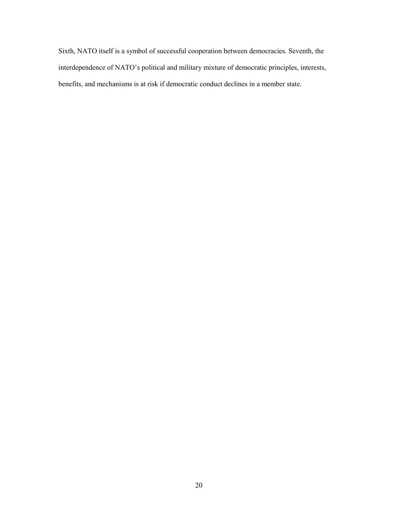Sixth, NATO itself is a symbol of successful cooperation between democracies. Seventh, the interdependence of NATO's political and military mixture of democratic principles, interests, benefits, and mechanisms is at risk if democratic conduct declines in a member state.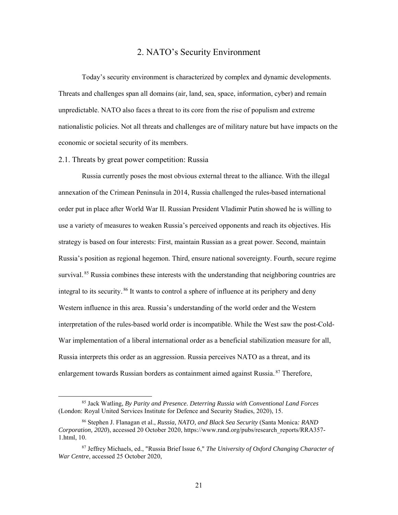# 2. NATO's Security Environment

<span id="page-29-0"></span>Today's security environment is characterized by complex and dynamic developments. Threats and challenges span all domains (air, land, sea, space, information, cyber) and remain unpredictable. NATO also faces a threat to its core from the rise of populism and extreme nationalistic policies. Not all threats and challenges are of military nature but have impacts on the economic or societal security of its members.

#### 2.1. Threats by great power competition: Russia

Russia currently poses the most obvious external threat to the alliance. With the illegal annexation of the Crimean Peninsula in 2014, Russia challenged the rules-based international order put in place after World War II. Russian President Vladimir Putin showed he is willing to use a variety of measures to weaken Russia's perceived opponents and reach its objectives. His strategy is based on four interests: First, maintain Russian as a great power. Second, maintain Russia's position as regional hegemon. Third, ensure national sovereignty. Fourth, secure regime survival.<sup>85</sup> Russia combines these interests with the understanding that neighboring countries are integral to its security.<sup>86</sup> It wants to control a sphere of influence at its periphery and deny Western influence in this area. Russia's understanding of the world order and the Western interpretation of the rules-based world order is incompatible. While the West saw the post-Cold-War implementation of a liberal international order as a beneficial stabilization measure for all, Russia interprets this order as an aggression. Russia perceives NATO as a threat, and its enlargement towards Russian borders as containment aimed against Russia.<sup>87</sup> Therefore,

 <sup>85</sup> Jack Watling, *By Parity and Presence. Deterring Russia with Conventional Land Forces* (London: Royal United Services Institute for Defence and Security Studies, 2020), 15.

<sup>86</sup> Stephen J. Flanagan et al., *Russia, NATO, and Black Sea Security* (Santa Monica*: RAND Corporation, 2020*), accessed 20 October 2020, [https://www.rand.org/pubs/research\\_reports/RRA357-](https://www.rand.org/pubs/research_reports/RRA357-1.html) [1.html,](https://www.rand.org/pubs/research_reports/RRA357-1.html) 10.

<sup>87</sup> Jeffrey Michaels, ed., "Russia Brief Issue 6," *The University of Oxford Changing Character of War Centre*, accessed 25 October 2020,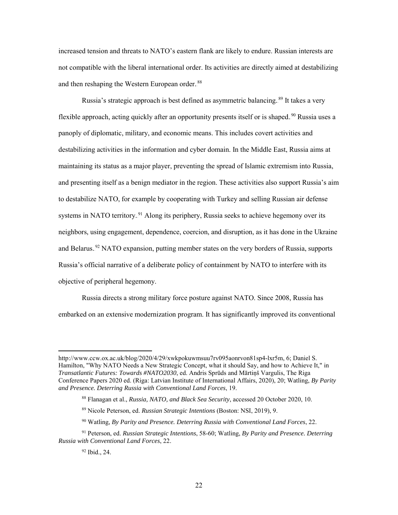increased tension and threats to NATO's eastern flank are likely to endure. Russian interests are not compatible with the liberal international order. Its activities are directly aimed at destabilizing and then reshaping the Western European order.<sup>88</sup>

Russia's strategic approach is best defined as asymmetric balancing.<sup>89</sup> It takes a very flexible approach, acting quickly after an opportunity presents itself or is shaped.<sup>90</sup> Russia uses a panoply of diplomatic, military, and economic means. This includes covert activities and destabilizing activities in the information and cyber domain. In the Middle East, Russia aims at maintaining its status as a major player, preventing the spread of Islamic extremism into Russia, and presenting itself as a benign mediator in the region. These activities also support Russia's aim to destabilize NATO, for example by cooperating with Turkey and selling Russian air defense systems in NATO territory.<sup>91</sup> Along its periphery, Russia seeks to achieve hegemony over its neighbors, using engagement, dependence, coercion, and disruption, as it has done in the Ukraine and Belarus.<sup>92</sup> NATO expansion, putting member states on the very borders of Russia, supports Russia's official narrative of a deliberate policy of containment by NATO to interfere with its objective of peripheral hegemony.

Russia directs a strong military force posture against NATO. Since 2008, Russia has embarked on an extensive modernization program. It has significantly improved its conventional

 $\overline{a}$ 

http://www.ccw.ox.ac.uk/blog/2020/4/29/xwkpokuwmsuu7rv095aonrvon81sp4-lxr5m, 6; Daniel S. Hamilton, "Why NATO Needs a New Strategic Concept, what it should Say, and how to Achieve It," in *Transatlantic Futures: Towards #NATO2030*, ed. Andris Sprūds and Mārtiņš Vargulis, The Riga Conference Papers 2020 ed. (Riga: Latvian Institute of International Affairs, 2020), 20; Watling, *By Parity and Presence. Deterring Russia with Conventional Land Forces*, 19.

<sup>88</sup> Flanagan et al., *Russia, NATO, and Black Sea Security*, accessed 20 October 2020, 10.

<sup>89</sup> Nicole Peterson, ed. *Russian Strategic Intentions* (Boston: NSI, 2019), 9.

<sup>90</sup> Watling, *By Parity and Presence. Deterring Russia with Conventional Land Forces*, 22.

<sup>91</sup> Peterson, ed. *Russian Strategic Intentions*, 58-60; Watling, *By Parity and Presence. Deterring Russia with Conventional Land Forces*, 22.

<sup>92</sup> Ibid., 24.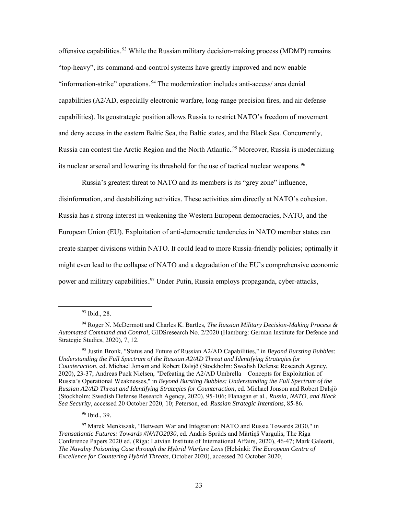offensive capabilities.<sup>93</sup> While the Russian military decision-making process (MDMP) remains "top-heavy", its command-and-control systems have greatly improved and now enable "information-strike" operations.<sup>94</sup> The modernization includes anti-access/ area denial capabilities (A2/AD, especially electronic warfare, long-range precision fires, and air defense capabilities). Its geostrategic position allows Russia to restrict NATO's freedom of movement and deny access in the eastern Baltic Sea, the Baltic states, and the Black Sea. Concurrently, Russia can contest the Arctic Region and the North Atlantic.<sup>95</sup> Moreover, Russia is modernizing its nuclear arsenal and lowering its threshold for the use of tactical nuclear weapons.<sup>96</sup>

Russia's greatest threat to NATO and its members is its "grey zone" influence,

disinformation, and destabilizing activities. These activities aim directly at NATO's cohesion. Russia has a strong interest in weakening the Western European democracies, NATO, and the European Union (EU). Exploitation of anti-democratic tendencies in NATO member states can create sharper divisions within NATO. It could lead to more Russia-friendly policies; optimally it might even lead to the collapse of NATO and a degradation of the EU's comprehensive economic power and military capabilities.<sup>97</sup> Under Putin, Russia employs propaganda, cyber-attacks,

 <sup>93</sup> Ibid., 28.

<sup>94</sup> Roger N. McDermott and Charles K. Bartles, *The Russian Military Decision-Making Process & Automated Command and Control*, GIDSresearch No. 2/2020 (Hamburg: German Institute for Defence and Strategic Studies, 2020), 7, 12.

<sup>95</sup> Justin Bronk, "Status and Future of Russian A2/AD Capabilities," in *Beyond Bursting Bubbles: Understanding the Full Spectrum of the Russian A2/AD Threat and Identifying Strategies for Counteraction*, ed. Michael Jonson and Robert Dalsjö (Stockholm: Swedish Defense Research Agency, 2020), 23-37; Andreas Puck Nielsen, "Defeating the A2/AD Umbrella – Concepts for Exploitation of Russia's Operational Weaknesses," in *Beyond Bursting Bubbles: Understanding the Full Spectrum of the Russian A2/AD Threat and Identifying Strategies for Counteraction*, ed. Michael Jonson and Robert Dalsjö (Stockholm: Swedish Defense Research Agency, 2020), 95-106; Flanagan et al., *Russia, NATO, and Black Sea Security*, accessed 20 October 2020, 10; Peterson, ed. *Russian Strategic Intentions*, 85-86.

<sup>96</sup> Ibid., 39.

<sup>97</sup> Marek Menkiszak, "Between War and Integration: NATO and Russia Towards 2030," in *Transatlantic Futures: Towards #NATO2030*, ed. Andris Sprūds and Mārtiņš Vargulis, The Riga Conference Papers 2020 ed. (Riga: Latvian Institute of International Affairs, 2020), 46-47; Mark Galeotti, *The Navalny Poisoning Case through the Hybrid Warfare Lens* (Helsinki: *The European Centre of Excellence for Countering Hybrid Threats*, October 2020), accessed 20 October 2020,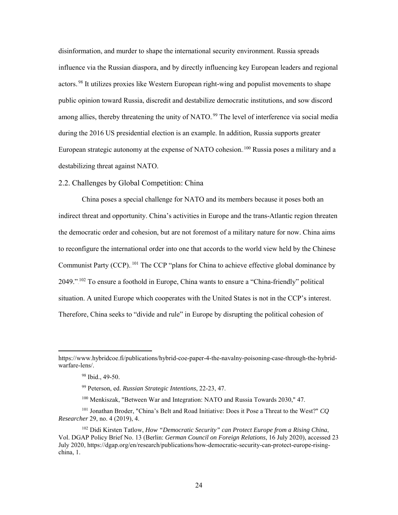disinformation, and murder to shape the international security environment. Russia spreads influence via the Russian diaspora, and by directly influencing key European leaders and regional actors.<sup>98</sup> It utilizes proxies like Western European right-wing and populist movements to shape public opinion toward Russia, discredit and destabilize democratic institutions, and sow discord among allies, thereby threatening the unity of NATO.<sup>99</sup> The level of interference via social media during the 2016 US presidential election is an example. In addition, Russia supports greater European strategic autonomy at the expense of NATO cohesion.<sup>100</sup> Russia poses a military and a destabilizing threat against NATO.

## 2.2. Challenges by Global Competition: China

China poses a special challenge for NATO and its members because it poses both an indirect threat and opportunity. China's activities in Europe and the trans-Atlantic region threaten the democratic order and cohesion, but are not foremost of a military nature for now. China aims to reconfigure the international order into one that accords to the world view held by the Chinese Communist Party (CCP). <sup>101</sup> The CCP "plans for China to achieve effective global dominance by 2049."<sup>102</sup> To ensure a foothold in Europe, China wants to ensure a "China-friendly" political situation. A united Europe which cooperates with the United States is not in the CCP's interest. Therefore, China seeks to "divide and rule" in Europe by disrupting the political cohesion of

 $\overline{a}$ 

https://www.hybridcoe.fi/publications/hybrid-coe-paper-4-the-navalny-poisoning-case-through-the-hybridwarfare-lens/.

<sup>98</sup> Ibid., 49-50.

<sup>99</sup> Peterson, ed. *Russian Strategic Intentions*, 22-23, 47.

<sup>100</sup> Menkiszak, "Between War and Integration: NATO and Russia Towards 2030," 47.

<sup>101</sup> Jonathan Broder, "China's Belt and Road Initiative: Does it Pose a Threat to the West?" *CQ Researcher* 29, no. 4 (2019), 4.

<sup>102</sup> Didi Kirsten Tatlow, *How "Democratic Security" can Protect Europe from a Rising China*, Vol. DGAP Policy Brief No. 13 (Berlin: *German Council on Foreign Relations*, 16 July 2020), accessed 23 July 2020, https://dgap.org/en/research/publications/how-democratic-security-can-protect-europe-risingchina, 1.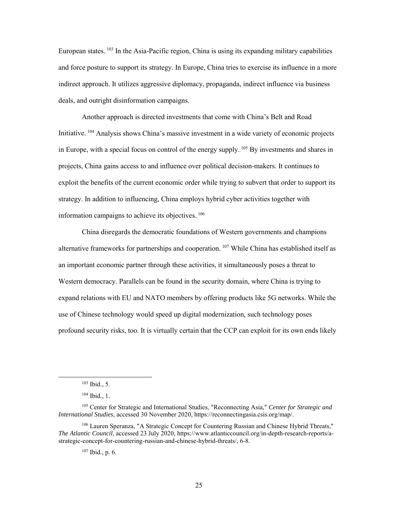European states.  $103$  In the Asia-Pacific region, China is using its expanding military capabilities and force posture to support its strategy. In Europe, China tries to exercise its influence in a more indirect approach. It utilizes aggressive diplomacy, propaganda, indirect influence via business deals, and outright disinformation campaigns.

Another approach is directed investments that come with China's Belt and Road Initiative. <sup>104</sup> Analysis shows China's massive investment in a wide variety of economic projects in Europe, with a special focus on control of the energy supply. <sup>105</sup> By investments and shares in projects, China gains access to and influence over political decision-makers. It continues to exploit the benefits of the current economic order while trying to subvert that order to support its strategy. In addition to influencing, China employs hybrid cyber activities together with information campaigns to achieve its objectives.<sup>106</sup>

China disregards the democratic foundations of Western governments and champions alternative frameworks for partnerships and cooperation. <sup>107</sup> While China has established itself as an important economic partner through these activities, it simultaneously poses a threat to Western democracy. Parallels can be found in the security domain, where China is trying to expand relations with EU and NATO members by offering products like 5G networks. While the use of Chinese technology would speed up digital modernization, such technology poses profound security risks, too. It is virtually certain that the CCP can exploit for its own ends likely

 <sup>103</sup> Ibid., 5.

<sup>104</sup> Ibid., 1.

<sup>105</sup> Center for Strategic and International Studies, "Reconnecting Asia," *Center for Strategic and International Studies*, accessed 30 November 2020, https://reconnectingasia.csis.org/map/.

<sup>106</sup> Lauren Speranza, "A Strategic Concept for Countering Russian and Chinese Hybrid Threats," *The Atlantic Council*, accessed 23 July 2020, https://www.atlanticcouncil.org/in-depth-research-reports/astrategic-concept-for-countering-russian-and-chinese-hybrid-threats/, 6-8.

<sup>107</sup> Ibid., p. 6.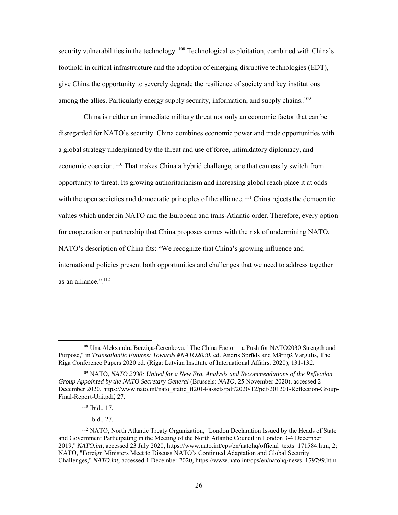security vulnerabilities in the technology. <sup>108</sup> Technological exploitation, combined with China's foothold in critical infrastructure and the adoption of emerging disruptive technologies (EDT), give China the opportunity to severely degrade the resilience of society and key institutions among the allies. Particularly energy supply security, information, and supply chains. <sup>109</sup>

China is neither an immediate military threat nor only an economic factor that can be disregarded for NATO's security. China combines economic power and trade opportunities with a global strategy underpinned by the threat and use of force, intimidatory diplomacy, and economic coercion. <sup>110</sup> That makes China a hybrid challenge, one that can easily switch from opportunity to threat. Its growing authoritarianism and increasing global reach place it at odds with the open societies and democratic principles of the alliance.  $^{111}$  China rejects the democratic values which underpin NATO and the European and trans-Atlantic order. Therefore, every option for cooperation or partnership that China proposes comes with the risk of undermining NATO. NATO's description of China fits: "We recognize that China's growing influence and international policies present both opportunities and challenges that we need to address together as an alliance." $1^{112}$ 

<sup>111</sup> Ibid., 27.

 <sup>108</sup> Una Aleksandra Bērziņa-Čerenkova, "The China Factor – a Push for NATO2030 Strength and Purpose," in *Transatlantic Futures: Towards #NATO2030*, ed. Andris Sprūds and Mārtiņš Vargulis, The Riga Conference Papers 2020 ed. (Riga: Latvian Institute of International Affairs, 2020), 131-132.

<sup>109</sup> NATO, *NATO 2030: United for a New Era. Analysis and Recommendations of the Reflection Group Appointed by the NATO Secretary General* (Brussels: *NATO*, 25 November 2020), accessed 2 December 2020, https://www.nato.int/nato\_static\_fl2014/assets/pdf/2020/12/pdf/201201-Reflection-Group-Final-Report-Uni.pdf, 27.

<sup>110</sup> Ibid., 17.

<sup>112</sup> NATO, North Atlantic Treaty Organization, "London Declaration Issued by the Heads of State and Government Participating in the Meeting of the North Atlantic Council in London 3-4 December 2019," *NATO.int*, accessed 23 July 2020, https://www.nato.int/cps/en/natohq/official\_texts\_171584.htm, 2; NATO, "Foreign Ministers Meet to Discuss NATO's Continued Adaptation and Global Security Challenges," *NATO.int*, accessed 1 December 2020, https://www.nato.int/cps/en/natohq/news\_179799.htm.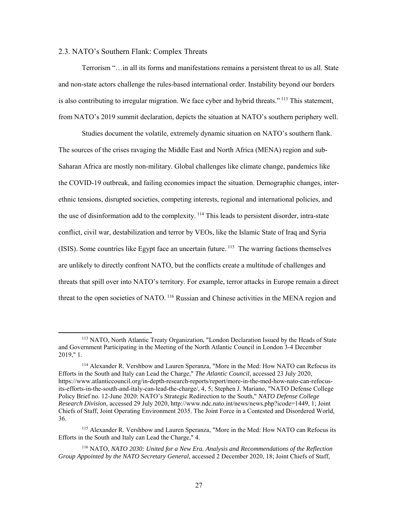### 2.3. NATO's Southern Flank: Complex Threats

Terrorism "…in all its forms and manifestations remains a persistent threat to us all. State and non-state actors challenge the rules-based international order. Instability beyond our borders is also contributing to irregular migration. We face cyber and hybrid threats."<sup>113</sup> This statement, from NATO's 2019 summit declaration, depicts the situation at NATO's southern periphery well.

Studies document the volatile, extremely dynamic situation on NATO's southern flank. The sources of the crises ravaging the Middle East and North Africa (MENA) region and sub-Saharan Africa are mostly non-military. Global challenges like climate change, pandemics like the COVID-19 outbreak, and failing economies impact the situation. Demographic changes, interethnic tensions, disrupted societies, competing interests, regional and international policies, and the use of disinformation add to the complexity. <sup>114</sup> This leads to persistent disorder, intra-state conflict, civil war, destabilization and terror by VEOs, like the Islamic State of Iraq and Syria (ISIS). Some countries like Egypt face an uncertain future.<sup>115</sup> The warring factions themselves are unlikely to directly confront NATO, but the conflicts create a multitude of challenges and threats that spill over into NATO's territory. For example, terror attacks in Europe remain a direct threat to the open societies of NATO.<sup>116</sup> Russian and Chinese activities in the MENA region and

 <sup>113</sup> NATO, North Atlantic Treaty Organization, "London Declaration Issued by the Heads of State and Government Participating in the Meeting of the North Atlantic Council in London 3-4 December 2019," 1.

<sup>114</sup> Alexander R. Vershbow and Lauren Speranza, "More in the Med: How NATO can Refocus its Efforts in the South and Italy can Lead the Charge," *The Atlantic Council*, accessed 23 July 2020, [https://www.atlanticcouncil.org/in-depth-research-reports/report/more-in-the-med-how-nato-can-refocus](https://www.atlanticcouncil.org/in-depth-research-reports/report/more-in-the-med-how-nato-can-refocus-its-efforts-in-the-south-and-italy-can-lead-the-charge/)[its-efforts-in-the-south-and-italy-can-lead-the-charge/,](https://www.atlanticcouncil.org/in-depth-research-reports/report/more-in-the-med-how-nato-can-refocus-its-efforts-in-the-south-and-italy-can-lead-the-charge/) 4, 5; Stephen J. Mariano, "NATO Defense College Policy Brief no. 12-June 2020: NATO's Strategic Redirection to the South," *NATO Defense College Research Division,* accessed 29 July 2020, http://www.ndc.nato.int/news/news.php?icode=1449, 1; Joint Chiefs of Staff, Joint Operating Environment 2035. The Joint Force in a Contested and Disordered World, 36.

<sup>115</sup> Alexander R. Vershbow and Lauren Speranza, "More in the Med: How NATO can Refocus its Efforts in the South and Italy can Lead the Charge," 4.

<sup>116</sup> NATO, *NATO 2030: United for a New Era. Analysis and Recommendations of the Reflection Group Appointed by the NATO Secretary General*, accessed 2 December 2020, 18; Joint Chiefs of Staff,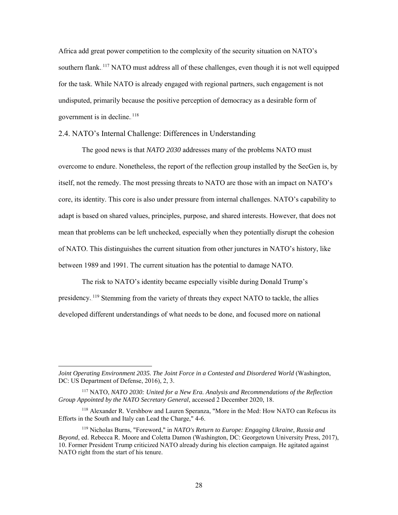Africa add great power competition to the complexity of the security situation on NATO's southern flank.<sup>117</sup> NATO must address all of these challenges, even though it is not well equipped for the task. While NATO is already engaged with regional partners, such engagement is not undisputed, primarily because the positive perception of democracy as a desirable form of government is in decline.<sup>118</sup>

## 2.4. NATO's Internal Challenge: Differences in Understanding

The good news is that *NATO 2030* addresses many of the problems NATO must overcome to endure. Nonetheless, the report of the reflection group installed by the SecGen is, by itself, not the remedy. The most pressing threats to NATO are those with an impact on NATO's core, its identity. This core is also under pressure from internal challenges. NATO's capability to adapt is based on shared values, principles, purpose, and shared interests. However, that does not mean that problems can be left unchecked, especially when they potentially disrupt the cohesion of NATO. This distinguishes the current situation from other junctures in NATO's history, like between 1989 and 1991. The current situation has the potential to damage NATO.

The risk to NATO's identity became especially visible during Donald Trump's presidency. <sup>119</sup> Stemming from the variety of threats they expect NATO to tackle, the allies developed different understandings of what needs to be done, and focused more on national

 $\overline{a}$ 

*Joint Operating Environment 2035. The Joint Force in a Contested and Disordered World* (Washington, DC: US Department of Defense, 2016), 2, 3.

<sup>117</sup> NATO, *NATO 2030: United for a New Era. Analysis and Recommendations of the Reflection Group Appointed by the NATO Secretary General*, accessed 2 December 2020, 18.

<sup>118</sup> Alexander R. Vershbow and Lauren Speranza, "More in the Med: How NATO can Refocus its Efforts in the South and Italy can Lead the Charge," 4-6.

<sup>119</sup> Nicholas Burns, "Foreword," in *NATO's Return to Europe: Engaging Ukraine, Russia and Beyond*, ed. Rebecca R. Moore and Coletta Damon (Washington, DC: Georgetown University Press, 2017), 10. Former President Trump criticized NATO already during his election campaign. He agitated against NATO right from the start of his tenure.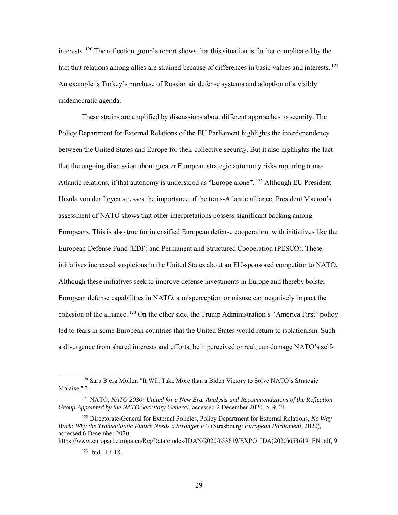interests.<sup>120</sup> The reflection group's report shows that this situation is further complicated by the fact that relations among allies are strained because of differences in basic values and interests.<sup>121</sup> An example is Turkey's purchase of Russian air defense systems and adoption of a visibly undemocratic agenda.

These strains are amplified by discussions about different approaches to security. The Policy Department for External Relations of the EU Parliament highlights the interdependency between the United States and Europe for their collective security. But it also highlights the fact that the ongoing discussion about greater European strategic autonomy risks rupturing trans-Atlantic relations, if that autonomy is understood as "Europe alone".<sup>122</sup> Although EU President Ursula von der Leyen stresses the importance of the trans-Atlantic alliance, President Macron's assessment of NATO shows that other interpretations possess significant backing among Europeans. This is also true for intensified European defense cooperation, with initiatives like the European Defense Fund (EDF) and Permanent and Structured Cooperation (PESCO). These initiatives increased suspicions in the United States about an EU-sponsored competitor to NATO. Although these initiatives seek to improve defense investments in Europe and thereby bolster European defense capabilities in NATO, a misperception or misuse can negatively impact the cohesion of the alliance.<sup>123</sup> On the other side, the Trump Administration's "America First" policy led to fears in some European countries that the United States would return to isolationism. Such a divergence from shared interests and efforts, be it perceived or real, can damage NATO's self-

https://www.europarl.europa.eu/RegData/etudes/IDAN/2020/653619/EXPO\_IDA(2020)653619\_EN.pdf, 9.

<sup>123</sup> Ibid., 17-18.

<sup>&</sup>lt;sup>120</sup> Sara Bjerg Moller, "It Will Take More than a Biden Victory to Solve NATO's Strategic Malaise," 2.

<sup>121</sup> NATO, *NATO 2030: United for a New Era. Analysis and Recommendations of the Reflection Group Appointed by the NATO Secretary General*, accessed 2 December 2020, 5, 9, 21.

<sup>122</sup> Directorate-General for External Policies, Policy Department for External Relations, *No Way Back: Why the Transatlantic Future Needs a Stronger EU* (Strasbourg: *European Parliament*, 2020), accessed 6 December 2020,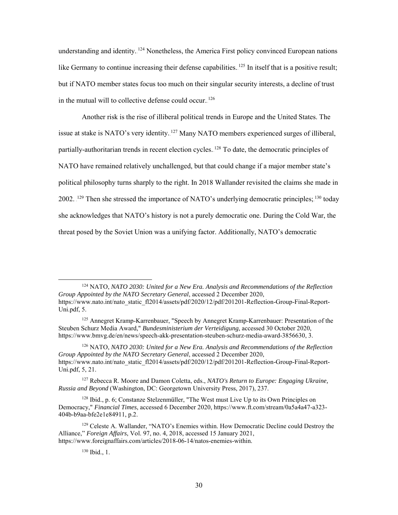understanding and identity. <sup>124</sup> Nonetheless, the America First policy convinced European nations like Germany to continue increasing their defense capabilities.  $125$  In itself that is a positive result; but if NATO member states focus too much on their singular security interests, a decline of trust in the mutual will to collective defense could occur. $126$ 

Another risk is the rise of illiberal political trends in Europe and the United States. The issue at stake is NATO's very identity. <sup>127</sup> Many NATO members experienced surges of illiberal, partially-authoritarian trends in recent election cycles. <sup>128</sup> To date, the democratic principles of NATO have remained relatively unchallenged, but that could change if a major member state's political philosophy turns sharply to the right. In 2018 Wallander revisited the claims she made in 2002.  $129$  Then she stressed the importance of NATO's underlying democratic principles;  $130$  today she acknowledges that NATO's history is not a purely democratic one. During the Cold War, the threat posed by the Soviet Union was a unifying factor. Additionally, NATO's democratic

 124 NATO, *NATO 2030: United for a New Era. Analysis and Recommendations of the Reflection Group Appointed by the NATO Secretary General*, accessed 2 December 2020, [https://www.nato.int/nato\\_static\\_fl2014/assets/pdf/2020/12/pdf/201201-Reflection-Group-Final-Report-](https://www.nato.int/nato_static_fl2014/assets/pdf/2020/12/pdf/201201-Reflection-Group-Final-Report-Uni.pdf)[Uni.pdf,](https://www.nato.int/nato_static_fl2014/assets/pdf/2020/12/pdf/201201-Reflection-Group-Final-Report-Uni.pdf) 5.

<sup>125</sup> Annegret Kramp-Karrenbauer, "Speech by Annegret Kramp-Karrenbauer: Presentation of the Steuben Schurz Media Award," *Bundesministerium der Verteidigung*, accessed 30 October 2020, https://www.bmvg.de/en/news/speech-akk-presentation-steuben-schurz-media-award-3856630, 3.

<sup>126</sup> NATO, *NATO 2030: United for a New Era. Analysis and Recommendations of the Reflection Group Appointed by the NATO Secretary General*, accessed 2 December 2020, [https://www.nato.int/nato\\_static\\_fl2014/assets/pdf/2020/12/pdf/201201-Reflection-Group-Final-Report-](https://www.nato.int/nato_static_fl2014/assets/pdf/2020/12/pdf/201201-Reflection-Group-Final-Report-Uni.pdf)[Uni.pdf,](https://www.nato.int/nato_static_fl2014/assets/pdf/2020/12/pdf/201201-Reflection-Group-Final-Report-Uni.pdf) 5, 21.

<sup>127</sup> Rebecca R. Moore and Damon Coletta, eds., *NATO's Return to Europe: Engaging Ukraine, Russia and Beyond* (Washington, DC: Georgetown University Press, 2017), 237.

<sup>128</sup> Ibid., p. 6; Constanze Stelzenmüller, "The West must Live Up to its Own Principles on Democracy," *Financial Times*, accessed 6 December 2020, https://www.ft.com/stream/0a5a4a47-a323- 404b-b9aa-bfe2e1e84911, p.2.

<sup>129</sup> Celeste A. Wallander, "NATO's Enemies within. How Democratic Decline could Destroy the Alliance," *Foreign Affairs*, Vol. 97, no. 4, 2018, accessed 15 January 2021, https://www.foreignaffairs.com/articles/2018-06-14/natos-enemies-within.

<sup>130</sup> Ibid., 1.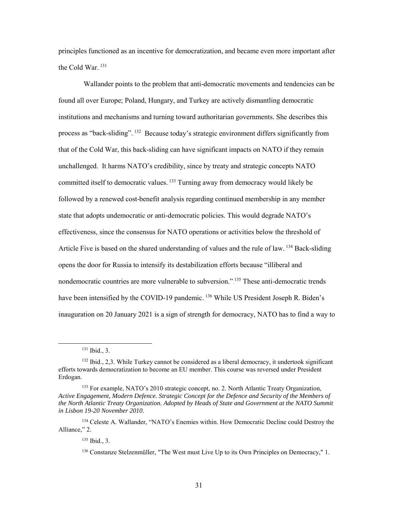principles functioned as an incentive for democratization, and became even more important after the Cold War.<sup>131</sup>

Wallander points to the problem that anti-democratic movements and tendencies can be found all over Europe; Poland, Hungary, and Turkey are actively dismantling democratic institutions and mechanisms and turning toward authoritarian governments. She describes this process as "back-sliding". <sup>132</sup> Because today's strategic environment differs significantly from that of the Cold War, this back-sliding can have significant impacts on NATO if they remain unchallenged. It harms NATO's credibility, since by treaty and strategic concepts NATO committed itself to democratic values.<sup>133</sup> Turning away from democracy would likely be followed by a renewed cost-benefit analysis regarding continued membership in any member state that adopts undemocratic or anti-democratic policies. This would degrade NATO's effectiveness, since the consensus for NATO operations or activities below the threshold of Article Five is based on the shared understanding of values and the rule of law.<sup>134</sup> Back-sliding opens the door for Russia to intensify its destabilization efforts because "illiberal and nondemocratic countries are more vulnerable to subversion." <sup>135</sup> These anti-democratic trends have been intensified by the COVID-19 pandemic.<sup>136</sup> While US President Joseph R. Biden's inauguration on 20 January 2021 is a sign of strength for democracy, NATO has to find a way to

 $131$  Ibid., 3.

<sup>&</sup>lt;sup>132</sup> Ibid., 2,3. While Turkey cannot be considered as a liberal democracy, it undertook significant efforts towards democratization to become an EU member. This course was reversed under President Erdogan.

<sup>&</sup>lt;sup>133</sup> For example, NATO's 2010 strategic concept, no. 2. North Atlantic Treaty Organization, *Active Engagement, Modern Defence. Strategic Concept for the Defence and Security of the Members of the North Atlantic Treaty Organization. Adopted by Heads of State and Government at the NATO Summit in Lisbon 19-20 November 2010*.

<sup>134</sup> Celeste A. Wallander, "NATO's Enemies within. How Democratic Decline could Destroy the Alliance," 2.

<sup>135</sup> Ibid., 3.

<sup>136</sup> Constanze Stelzenmüller, "The West must Live Up to its Own Principles on Democracy," 1.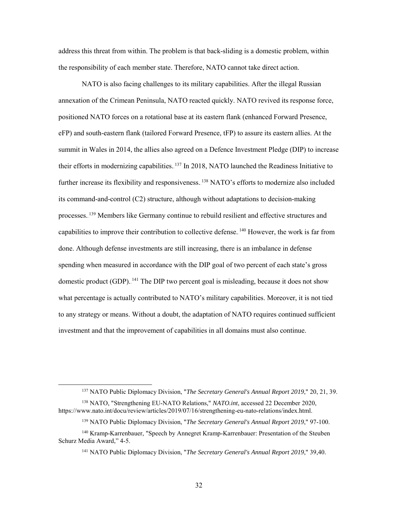address this threat from within. The problem is that back-sliding is a domestic problem, within the responsibility of each member state. Therefore, NATO cannot take direct action.

NATO is also facing challenges to its military capabilities. After the illegal Russian annexation of the Crimean Peninsula, NATO reacted quickly. NATO revived its response force, positioned NATO forces on a rotational base at its eastern flank (enhanced Forward Presence, eFP) and south-eastern flank (tailored Forward Presence, tFP) to assure its eastern allies. At the summit in Wales in 2014, the allies also agreed on a Defence Investment Pledge (DIP) to increase their efforts in modernizing capabilities.<sup>137</sup> In 2018, NATO launched the Readiness Initiative to further increase its flexibility and responsiveness. <sup>138</sup> NATO's efforts to modernize also included its command-and-control (C2) structure, although without adaptations to decision-making processes.<sup>139</sup> Members like Germany continue to rebuild resilient and effective structures and capabilities to improve their contribution to collective defense. <sup>140</sup> However, the work is far from done. Although defense investments are still increasing, there is an imbalance in defense spending when measured in accordance with the DIP goal of two percent of each state's gross domestic product (GDP).<sup>141</sup> The DIP two percent goal is misleading, because it does not show what percentage is actually contributed to NATO's military capabilities. Moreover, it is not tied to any strategy or means. Without a doubt, the adaptation of NATO requires continued sufficient investment and that the improvement of capabilities in all domains must also continue.

 <sup>137</sup> NATO Public Diplomacy Division, "*The Secretary General's Annual Report 2019*," 20, 21, 39.

<sup>138</sup> NATO, "Strengthening EU-NATO Relations," *NATO.int*, accessed 22 December 2020, https://www.nato.int/docu/review/articles/2019/07/16/strengthening-eu-nato-relations/index.html.

<sup>139</sup> NATO Public Diplomacy Division, "*The Secretary General's Annual Report 2019*," 97-100.

<sup>140</sup> Kramp-Karrenbauer, "Speech by Annegret Kramp-Karrenbauer: Presentation of the Steuben Schurz Media Award," 4-5.

<sup>141</sup> NATO Public Diplomacy Division, "*The Secretary General's Annual Report 2019*," 39,40.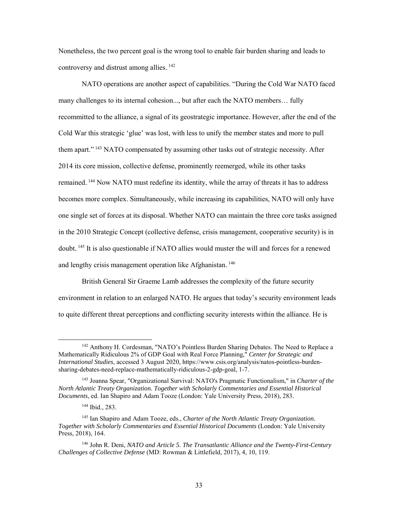Nonetheless, the two percent goal is the wrong tool to enable fair burden sharing and leads to controversy and distrust among allies.<sup>142</sup>

NATO operations are another aspect of capabilities. "During the Cold War NATO faced many challenges to its internal cohesion..., but after each the NATO members… fully recommitted to the alliance, a signal of its geostrategic importance. However, after the end of the Cold War this strategic 'glue' was lost, with less to unify the member states and more to pull them apart."<sup>143</sup> NATO compensated by assuming other tasks out of strategic necessity. After 2014 its core mission, collective defense, prominently reemerged, while its other tasks remained.<sup>144</sup> Now NATO must redefine its identity, while the array of threats it has to address becomes more complex. Simultaneously, while increasing its capabilities, NATO will only have one single set of forces at its disposal. Whether NATO can maintain the three core tasks assigned in the 2010 Strategic Concept (collective defense, crisis management, cooperative security) is in doubt.<sup>145</sup> It is also questionable if NATO allies would muster the will and forces for a renewed and lengthy crisis management operation like Afghanistan. <sup>146</sup>

British General Sir Graeme Lamb addresses the complexity of the future security environment in relation to an enlarged NATO. He argues that today's security environment leads to quite different threat perceptions and conflicting security interests within the alliance. He is

<sup>&</sup>lt;sup>142</sup> Anthony H. Cordesman, "NATO's Pointless Burden Sharing Debates. The Need to Replace a Mathematically Ridiculous 2% of GDP Goal with Real Force Planning," *Center for Strategic and International Studies*, accessed 3 August 2020, https://www.csis.org/analysis/natos-pointless-burdensharing-debates-need-replace-mathematically-ridiculous-2-gdp-goal, 1-7.

<sup>143</sup> Joanna Spear, "Organizational Survival: NATO's Pragmatic Functionalism," in *Charter of the North Atlantic Treaty Organization. Together with Scholarly Commentaries and Essential Historical Documents*, ed. Ian Shapiro and Adam Tooze (London: Yale University Press, 2018), 283.

<sup>144</sup> Ibid., 283.

<sup>145</sup> Ian Shapiro and Adam Tooze, eds., *Charter of the North Atlantic Treaty Organization. Together with Scholarly Commentaries and Essential Historical Documents* (London: Yale University Press, 2018), 164.

<sup>146</sup> John R. Deni, *NATO and Article 5. The Transatlantic Alliance and the Twenty-First-Century Challenges of Collective Defense* (MD: Rowman & Littlefield, 2017), 4, 10, 119.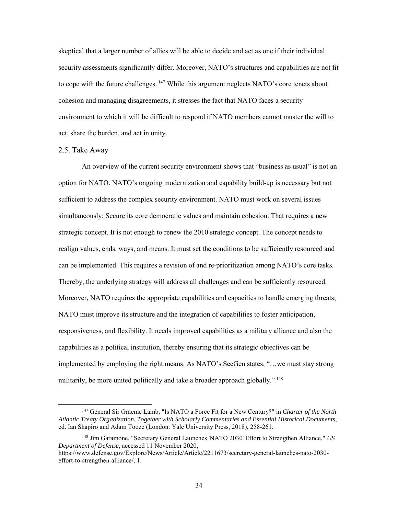skeptical that a larger number of allies will be able to decide and act as one if their individual security assessments significantly differ. Moreover, NATO's structures and capabilities are not fit to cope with the future challenges.  $147$  While this argument neglects NATO's core tenets about cohesion and managing disagreements, it stresses the fact that NATO faces a security environment to which it will be difficult to respond if NATO members cannot muster the will to act, share the burden, and act in unity.

## 2.5. Take Away

An overview of the current security environment shows that "business as usual" is not an option for NATO. NATO's ongoing modernization and capability build-up is necessary but not sufficient to address the complex security environment. NATO must work on several issues simultaneously: Secure its core democratic values and maintain cohesion. That requires a new strategic concept. It is not enough to renew the 2010 strategic concept. The concept needs to realign values, ends, ways, and means. It must set the conditions to be sufficiently resourced and can be implemented. This requires a revision of and re-prioritization among NATO's core tasks. Thereby, the underlying strategy will address all challenges and can be sufficiently resourced. Moreover, NATO requires the appropriate capabilities and capacities to handle emerging threats; NATO must improve its structure and the integration of capabilities to foster anticipation, responsiveness, and flexibility. It needs improved capabilities as a military alliance and also the capabilities as a political institution, thereby ensuring that its strategic objectives can be implemented by employing the right means. As NATO's SecGen states, "…we must stay strong militarily, be more united politically and take a broader approach globally.".<sup>148</sup>

 <sup>147</sup> General Sir Graeme Lamb, "Is NATO a Force Fit for a New Century?" in *Charter of the North Atlantic Treaty Organization. Together with Scholarly Commentaries and Essential Historical Documents*, ed. Ian Shapiro and Adam Tooze (London: Yale University Press, 2018), 258-261.

<sup>148</sup> Jim Garamone, "Secretary General Launches 'NATO 2030' Effort to Strengthen Alliance," *US Department of Defense*, accessed 11 November 2020,

https://www.defense.gov/Explore/News/Article/Article/2211673/secretary-general-launches-nato-2030 effort-to-strengthen-alliance/, 1.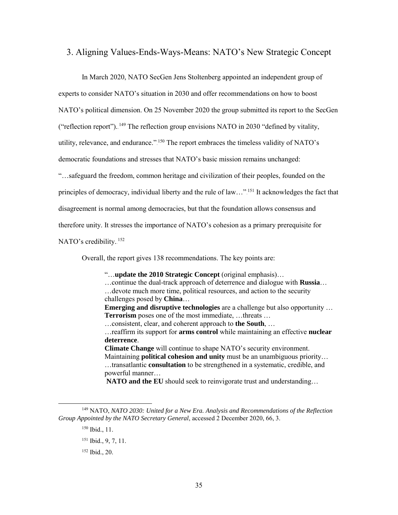# 3. Aligning Values-Ends-Ways-Means: NATO's New Strategic Concept

In March 2020, NATO SecGen Jens Stoltenberg appointed an independent group of experts to consider NATO's situation in 2030 and offer recommendations on how to boost NATO's political dimension. On 25 November 2020 the group submitted its report to the SecGen ("reflection report").  $^{149}$  The reflection group envisions NATO in 2030 "defined by vitality, utility, relevance, and endurance."<sup>150</sup> The report embraces the timeless validity of NATO's democratic foundations and stresses that NATO's basic mission remains unchanged: "…safeguard the freedom, common heritage and civilization of their peoples, founded on the principles of democracy, individual liberty and the rule of law..."<sup>151</sup> It acknowledges the fact that disagreement is normal among democracies, but that the foundation allows consensus and therefore unity. It stresses the importance of NATO's cohesion as a primary prerequisite for NATO's credibility.<sup>152</sup>

Overall, the report gives 138 recommendations. The key points are:

"…**update the 2010 Strategic Concept** (original emphasis)… …continue the dual-track approach of deterrence and dialogue with **Russia**… …devote much more time, political resources, and action to the security challenges posed by **China**…

**Emerging and disruptive technologies** are a challenge but also opportunity … **Terrorism** poses one of the most immediate, …threats …

…consistent, clear, and coherent approach to **the South**, …

…reaffirm its support for **arms control** while maintaining an effective **nuclear deterrence**.

**Climate Change** will continue to shape NATO's security environment. Maintaining **political cohesion and unity** must be an unambiguous priority… …transatlantic **consultation** to be strengthened in a systematic, credible, and powerful manner…

**NATO and the EU** should seek to reinvigorate trust and understanding…

 <sup>149</sup> NATO, *NATO 2030: United for a New Era. Analysis and Recommendations of the Reflection Group Appointed by the NATO Secretary General*, accessed 2 December 2020, 66, 3.

<sup>150</sup> Ibid., 11.

<sup>151</sup> Ibid., 9, 7, 11.

<sup>152</sup> Ibid., 20.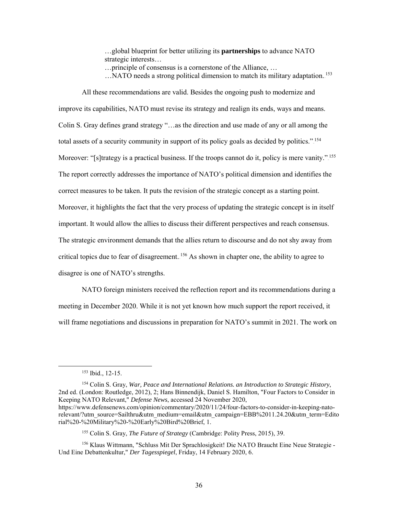…global blueprint for better utilizing its **partnerships** to advance NATO strategic interests…

- …principle of consensus is a cornerstone of the Alliance, …
- ... NATO needs a strong political dimension to match its military adaptation.<sup>153</sup>

All these recommendations are valid. Besides the ongoing push to modernize and improve its capabilities, NATO must revise its strategy and realign its ends, ways and means. Colin S. Gray defines grand strategy "…as the direction and use made of any or all among the total assets of a security community in support of its policy goals as decided by politics.".<sup>154</sup> Moreover: "[s]trategy is a practical business. If the troops cannot do it, policy is mere vanity.".<sup>155</sup> The report correctly addresses the importance of NATO's political dimension and identifies the correct measures to be taken. It puts the revision of the strategic concept as a starting point. Moreover, it highlights the fact that the very process of updating the strategic concept is in itself important. It would allow the allies to discuss their different perspectives and reach consensus. The strategic environment demands that the allies return to discourse and do not shy away from critical topics due to fear of disagreement.<sup>156</sup> As shown in chapter one, the ability to agree to disagree is one of NATO's strengths.

NATO foreign ministers received the reflection report and its recommendations during a meeting in December 2020. While it is not yet known how much support the report received, it will frame negotiations and discussions in preparation for NATO's summit in 2021. The work on

<sup>154</sup> Colin S. Gray, *War, Peace and International Relations. an Introduction to Strategic History*, 2nd ed. (London: Routledge, 2012), 2; Hans Binnendijk, Daniel S. Hamilton, "Four Factors to Consider in Keeping NATO Relevant," *Defense News*, accessed 24 November 2020,

 <sup>153</sup> Ibid., 12-15.

https://www.defensenews.com/opinion/commentary/2020/11/24/four-factors-to-consider-in-keeping-natorelevant/?utm\_source=Sailthru&utm\_medium=email&utm\_campaign=EBB%2011.24.20&utm\_term=Edito rial%20-%20Military%20-%20Early%20Bird%20Brief, 1.

<sup>155</sup> Colin S. Gray, *The Future of Strategy* (Cambridge: Polity Press, 2015), 39.

<sup>156</sup> Klaus Wittmann, "Schluss Mit Der Sprachlosigkeit! Die NATO Braucht Eine Neue Strategie - Und Eine Debattenkultur," *Der Tagesspiegel*, Friday, 14 February 2020, 6.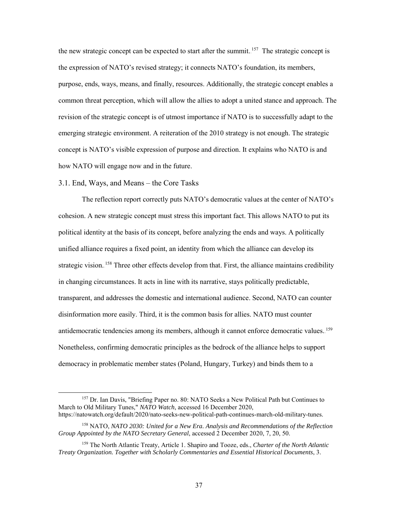the new strategic concept can be expected to start after the summit.<sup>157</sup> The strategic concept is the expression of NATO's revised strategy; it connects NATO's foundation, its members, purpose, ends, ways, means, and finally, resources. Additionally, the strategic concept enables a common threat perception, which will allow the allies to adopt a united stance and approach. The revision of the strategic concept is of utmost importance if NATO is to successfully adapt to the emerging strategic environment. A reiteration of the 2010 strategy is not enough. The strategic concept is NATO's visible expression of purpose and direction. It explains who NATO is and how NATO will engage now and in the future.

## 3.1. End, Ways, and Means – the Core Tasks

The reflection report correctly puts NATO's democratic values at the center of NATO's cohesion. A new strategic concept must stress this important fact. This allows NATO to put its political identity at the basis of its concept, before analyzing the ends and ways. A politically unified alliance requires a fixed point, an identity from which the alliance can develop its strategic vision.<sup>158</sup> Three other effects develop from that. First, the alliance maintains credibility in changing circumstances. It acts in line with its narrative, stays politically predictable, transparent, and addresses the domestic and international audience. Second, NATO can counter disinformation more easily. Third, it is the common basis for allies. NATO must counter antidemocratic tendencies among its members, although it cannot enforce democratic values.<sup>159</sup> Nonetheless, confirming democratic principles as the bedrock of the alliance helps to support democracy in problematic member states (Poland, Hungary, Turkey) and binds them to a

<sup>&</sup>lt;sup>157</sup> Dr. Ian Davis, "Briefing Paper no. 80: NATO Seeks a New Political Path but Continues to March to Old Military Tunes," *NATO Watch*, accessed 16 December 2020, https://natowatch.org/default/2020/nato-seeks-new-political-path-continues-march-old-military-tunes.

<sup>158</sup> NATO, *NATO 2030: United for a New Era. Analysis and Recommendations of the Reflection Group Appointed by the NATO Secretary General*, accessed 2 December 2020, 7, 20, 50.

<sup>159</sup> The North Atlantic Treaty, Article 1. Shapiro and Tooze, eds., *Charter of the North Atlantic Treaty Organization. Together with Scholarly Commentaries and Essential Historical Documents*, 3.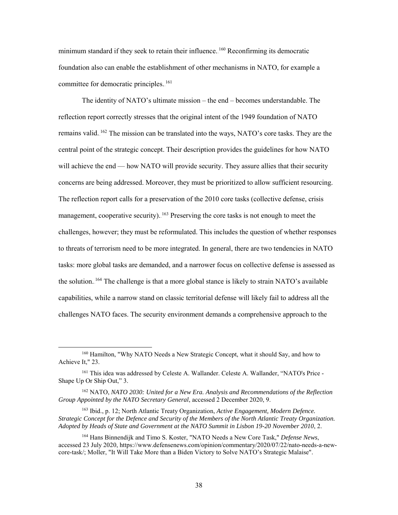minimum standard if they seek to retain their influence. <sup>160</sup> Reconfirming its democratic foundation also can enable the establishment of other mechanisms in NATO, for example a committee for democratic principles.<sup>161</sup>

The identity of NATO's ultimate mission – the end – becomes understandable. The reflection report correctly stresses that the original intent of the 1949 foundation of NATO remains valid.<sup>162</sup> The mission can be translated into the ways, NATO's core tasks. They are the central point of the strategic concept. Their description provides the guidelines for how NATO will achieve the end — how NATO will provide security. They assure allies that their security concerns are being addressed. Moreover, they must be prioritized to allow sufficient resourcing. The reflection report calls for a preservation of the 2010 core tasks (collective defense, crisis management, cooperative security). <sup>163</sup> Preserving the core tasks is not enough to meet the challenges, however; they must be reformulated. This includes the question of whether responses to threats of terrorism need to be more integrated. In general, there are two tendencies in NATO tasks: more global tasks are demanded, and a narrower focus on collective defense is assessed as the solution.<sup>164</sup> The challenge is that a more global stance is likely to strain NATO's available capabilities, while a narrow stand on classic territorial defense will likely fail to address all the challenges NATO faces. The security environment demands a comprehensive approach to the

 <sup>160</sup> Hamilton, "Why NATO Needs a New Strategic Concept, what it should Say, and how to Achieve It," 23.

<sup>161</sup> This idea was addressed by Celeste A. Wallander. Celeste A. Wallander, "NATO's Price - Shape Up Or Ship Out," 3.

<sup>162</sup> NATO, *NATO 2030: United for a New Era. Analysis and Recommendations of the Reflection Group Appointed by the NATO Secretary General*, accessed 2 December 2020, 9.

<sup>163</sup> Ibid., p. 12; North Atlantic Treaty Organization, *Active Engagement, Modern Defence. Strategic Concept for the Defence and Security of the Members of the North Atlantic Treaty Organization. Adopted by Heads of State and Government at the NATO Summit in Lisbon 19-20 November 2010*, 2.

<sup>164</sup> Hans Binnendijk and Timo S. Koster, "NATO Needs a New Core Task," *Defense News*, accessed 23 July 2020, https://www.defensenews.com/opinion/commentary/2020/07/22/nato-needs-a-newcore-task/; Moller, "It Will Take More than a Biden Victory to Solve NATO's Strategic Malaise".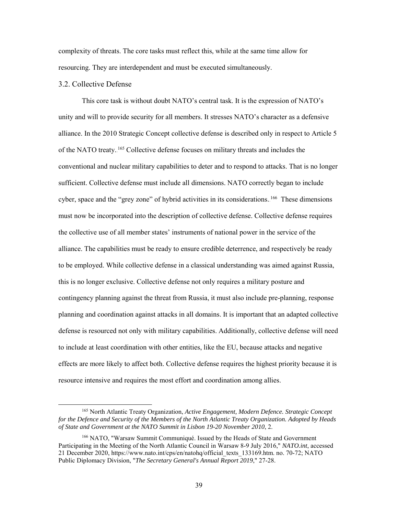complexity of threats. The core tasks must reflect this, while at the same time allow for resourcing. They are interdependent and must be executed simultaneously.

### 3.2. Collective Defense

This core task is without doubt NATO's central task. It is the expression of NATO's unity and will to provide security for all members. It stresses NATO's character as a defensive alliance. In the 2010 Strategic Concept collective defense is described only in respect to Article 5 of the NATO treaty.<sup>165</sup> Collective defense focuses on military threats and includes the conventional and nuclear military capabilities to deter and to respond to attacks. That is no longer sufficient. Collective defense must include all dimensions. NATO correctly began to include cyber, space and the "grey zone" of hybrid activities in its considerations.<sup>166</sup> These dimensions must now be incorporated into the description of collective defense. Collective defense requires the collective use of all member states' instruments of national power in the service of the alliance. The capabilities must be ready to ensure credible deterrence, and respectively be ready to be employed. While collective defense in a classical understanding was aimed against Russia, this is no longer exclusive. Collective defense not only requires a military posture and contingency planning against the threat from Russia, it must also include pre-planning, response planning and coordination against attacks in all domains. It is important that an adapted collective defense is resourced not only with military capabilities. Additionally, collective defense will need to include at least coordination with other entities, like the EU, because attacks and negative effects are more likely to affect both. Collective defense requires the highest priority because it is resource intensive and requires the most effort and coordination among allies.

 <sup>165</sup> North Atlantic Treaty Organization, *Active Engagement, Modern Defence. Strategic Concept for the Defence and Security of the Members of the North Atlantic Treaty Organization. Adopted by Heads of State and Government at the NATO Summit in Lisbon 19-20 November 2010*, 2.

<sup>166</sup> NATO, "Warsaw Summit Communiqué. Issued by the Heads of State and Government Participating in the Meeting of the North Atlantic Council in Warsaw 8-9 July 2016," *NATO.int*, accessed 21 December 2020, https://www.nato.int/cps/en/natohq/official\_texts\_133169.htm. no. 70-72; NATO Public Diplomacy Division, "*The Secretary General's Annual Report 2019*," 27-28.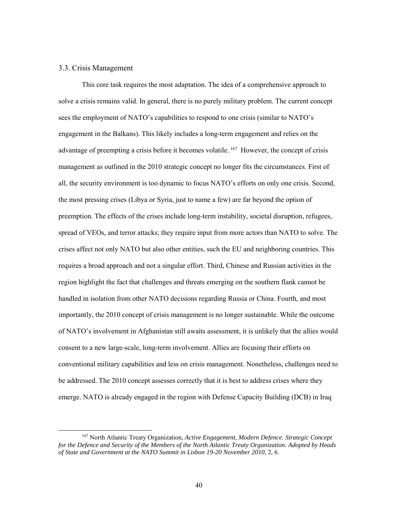### 3.3. Crisis Management

This core task requires the most adaptation. The idea of a comprehensive approach to solve a crisis remains valid. In general, there is no purely military problem. The current concept sees the employment of NATO's capabilities to respond to one crisis (similar to NATO's engagement in the Balkans). This likely includes a long-term engagement and relies on the advantage of preempting a crisis before it becomes volatile.<sup>167</sup> However, the concept of crisis management as outlined in the 2010 strategic concept no longer fits the circumstances. First of all, the security environment is too dynamic to focus NATO's efforts on only one crisis. Second, the most pressing crises (Libya or Syria, just to name a few) are far beyond the option of preemption. The effects of the crises include long-term instability, societal disruption, refugees, spread of VEOs, and terror attacks; they require input from more actors than NATO to solve. The crises affect not only NATO but also other entities, such the EU and neighboring countries. This requires a broad approach and not a singular effort. Third, Chinese and Russian activities in the region highlight the fact that challenges and threats emerging on the southern flank cannot be handled in isolation from other NATO decisions regarding Russia or China. Fourth, and most importantly, the 2010 concept of crisis management is no longer sustainable. While the outcome of NATO's involvement in Afghanistan still awaits assessment, it is unlikely that the allies would consent to a new large-scale, long-term involvement. Allies are focusing their efforts on conventional military capabilities and less on crisis management. Nonetheless, challenges need to be addressed. The 2010 concept assesses correctly that it is best to address crises where they emerge. NATO is already engaged in the region with Defense Capacity Building (DCB) in Iraq

 <sup>167</sup> North Atlantic Treaty Organization, *Active Engagement, Modern Defence. Strategic Concept for the Defence and Security of the Members of the North Atlantic Treaty Organization. Adopted by Heads of State and Government at the NATO Summit in Lisbon 19-20 November 2010*, 2, 6.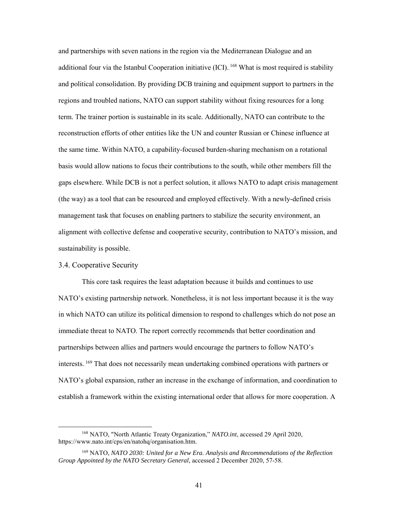and partnerships with seven nations in the region via the Mediterranean Dialogue and an additional four via the Istanbul Cooperation initiative (ICI). <sup>168</sup> What is most required is stability and political consolidation. By providing DCB training and equipment support to partners in the regions and troubled nations, NATO can support stability without fixing resources for a long term. The trainer portion is sustainable in its scale. Additionally, NATO can contribute to the reconstruction efforts of other entities like the UN and counter Russian or Chinese influence at the same time. Within NATO, a capability-focused burden-sharing mechanism on a rotational basis would allow nations to focus their contributions to the south, while other members fill the gaps elsewhere. While DCB is not a perfect solution, it allows NATO to adapt crisis management (the way) as a tool that can be resourced and employed effectively. With a newly-defined crisis management task that focuses on enabling partners to stabilize the security environment, an alignment with collective defense and cooperative security, contribution to NATO's mission, and sustainability is possible.

## 3.4. Cooperative Security

This core task requires the least adaptation because it builds and continues to use NATO's existing partnership network. Nonetheless, it is not less important because it is the way in which NATO can utilize its political dimension to respond to challenges which do not pose an immediate threat to NATO. The report correctly recommends that better coordination and partnerships between allies and partners would encourage the partners to follow NATO's interests.<sup>169</sup> That does not necessarily mean undertaking combined operations with partners or NATO's global expansion, rather an increase in the exchange of information, and coordination to establish a framework within the existing international order that allows for more cooperation. A

 <sup>168</sup> NATO, "North Atlantic Treaty Organization," *NATO.int*, accessed 29 April 2020, https://www.nato.int/cps/en/natohq/organisation.htm.

<sup>169</sup> NATO, *NATO 2030: United for a New Era. Analysis and Recommendations of the Reflection Group Appointed by the NATO Secretary General*, accessed 2 December 2020, 57-58.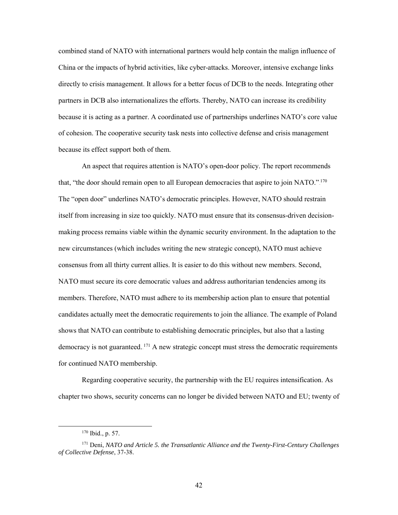combined stand of NATO with international partners would help contain the malign influence of China or the impacts of hybrid activities, like cyber-attacks. Moreover, intensive exchange links directly to crisis management. It allows for a better focus of DCB to the needs. Integrating other partners in DCB also internationalizes the efforts. Thereby, NATO can increase its credibility because it is acting as a partner. A coordinated use of partnerships underlines NATO's core value of cohesion. The cooperative security task nests into collective defense and crisis management because its effect support both of them.

An aspect that requires attention is NATO's open-door policy. The report recommends that, "the door should remain open to all European democracies that aspire to join NATO.".<sup>170</sup> The "open door" underlines NATO's democratic principles. However, NATO should restrain itself from increasing in size too quickly. NATO must ensure that its consensus-driven decisionmaking process remains viable within the dynamic security environment. In the adaptation to the new circumstances (which includes writing the new strategic concept), NATO must achieve consensus from all thirty current allies. It is easier to do this without new members. Second, NATO must secure its core democratic values and address authoritarian tendencies among its members. Therefore, NATO must adhere to its membership action plan to ensure that potential candidates actually meet the democratic requirements to join the alliance. The example of Poland shows that NATO can contribute to establishing democratic principles, but also that a lasting democracy is not guaranteed.<sup>171</sup> A new strategic concept must stress the democratic requirements for continued NATO membership.

Regarding cooperative security, the partnership with the EU requires intensification. As chapter two shows, security concerns can no longer be divided between NATO and EU; twenty of

 <sup>170</sup> Ibid., p. 57.

<sup>171</sup> Deni, *NATO and Article 5. the Transatlantic Alliance and the Twenty-First-Century Challenges of Collective Defense*, 37-38.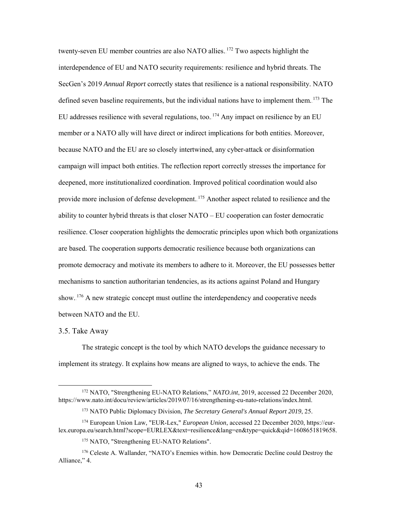twenty-seven EU member countries are also NATO allies.  $172$  Two aspects highlight the interdependence of EU and NATO security requirements: resilience and hybrid threats. The SecGen's 2019 *Annual Report* correctly states that resilience is a national responsibility. NATO defined seven baseline requirements, but the individual nations have to implement them.<sup>173</sup> The EU addresses resilience with several regulations, too.  $174$  Any impact on resilience by an EU member or a NATO ally will have direct or indirect implications for both entities. Moreover, because NATO and the EU are so closely intertwined, any cyber-attack or disinformation campaign will impact both entities. The reflection report correctly stresses the importance for deepened, more institutionalized coordination. Improved political coordination would also provide more inclusion of defense development. <sup>175</sup> Another aspect related to resilience and the ability to counter hybrid threats is that closer NATO – EU cooperation can foster democratic resilience. Closer cooperation highlights the democratic principles upon which both organizations are based. The cooperation supports democratic resilience because both organizations can promote democracy and motivate its members to adhere to it. Moreover, the EU possesses better mechanisms to sanction authoritarian tendencies, as its actions against Poland and Hungary show.  $176$  A new strategic concept must outline the interdependency and cooperative needs between NATO and the EU.

3.5. Take Away

The strategic concept is the tool by which NATO develops the guidance necessary to implement its strategy. It explains how means are aligned to ways, to achieve the ends. The

 <sup>172</sup> NATO, "Strengthening EU-NATO Relations," *NATO.int*, 2019, accessed 22 December 2020, https://www.nato.int/docu/review/articles/2019/07/16/strengthening-eu-nato-relations/index.html.

<sup>173</sup> NATO Public Diplomacy Division, *The Secretary General's Annual Report 2019*, 25.

<sup>174</sup> European Union Law, "EUR-Lex," *European Union*, accessed 22 December 2020, https://eurlex.europa.eu/search.html?scope=EURLEX&text=resilience&lang=en&type=quick&qid=1608651819658.

<sup>&</sup>lt;sup>175</sup> NATO, "Strengthening EU-NATO Relations".

<sup>176</sup> Celeste A. Wallander, "NATO's Enemies within. how Democratic Decline could Destroy the Alliance," 4.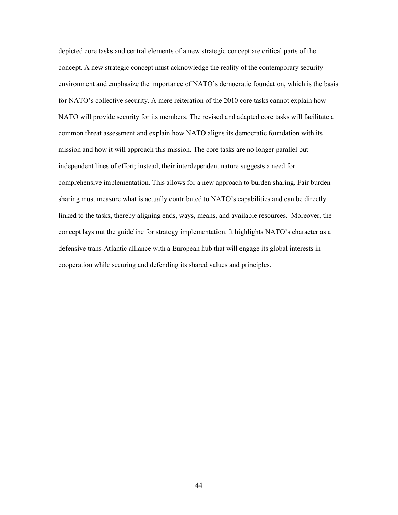depicted core tasks and central elements of a new strategic concept are critical parts of the concept. A new strategic concept must acknowledge the reality of the contemporary security environment and emphasize the importance of NATO's democratic foundation, which is the basis for NATO's collective security. A mere reiteration of the 2010 core tasks cannot explain how NATO will provide security for its members. The revised and adapted core tasks will facilitate a common threat assessment and explain how NATO aligns its democratic foundation with its mission and how it will approach this mission. The core tasks are no longer parallel but independent lines of effort; instead, their interdependent nature suggests a need for comprehensive implementation. This allows for a new approach to burden sharing. Fair burden sharing must measure what is actually contributed to NATO's capabilities and can be directly linked to the tasks, thereby aligning ends, ways, means, and available resources. Moreover, the concept lays out the guideline for strategy implementation. It highlights NATO's character as a defensive trans-Atlantic alliance with a European hub that will engage its global interests in cooperation while securing and defending its shared values and principles.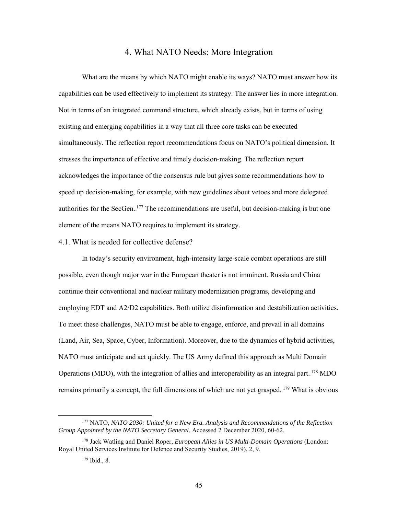## 4. What NATO Needs: More Integration

What are the means by which NATO might enable its ways? NATO must answer how its capabilities can be used effectively to implement its strategy. The answer lies in more integration. Not in terms of an integrated command structure, which already exists, but in terms of using existing and emerging capabilities in a way that all three core tasks can be executed simultaneously. The reflection report recommendations focus on NATO's political dimension. It stresses the importance of effective and timely decision-making. The reflection report acknowledges the importance of the consensus rule but gives some recommendations how to speed up decision-making, for example, with new guidelines about vetoes and more delegated authorities for the SecGen.<sup>177</sup> The recommendations are useful, but decision-making is but one element of the means NATO requires to implement its strategy.

### 4.1. What is needed for collective defense?

In today's security environment, high-intensity large-scale combat operations are still possible, even though major war in the European theater is not imminent. Russia and China continue their conventional and nuclear military modernization programs, developing and employing EDT and A2/D2 capabilities. Both utilize disinformation and destabilization activities. To meet these challenges, NATO must be able to engage, enforce, and prevail in all domains (Land, Air, Sea, Space, Cyber, Information). Moreover, due to the dynamics of hybrid activities, NATO must anticipate and act quickly. The US Army defined this approach as Multi Domain Operations (MDO), with the integration of allies and interoperability as an integral part. <sup>178</sup> MDO remains primarily a concept, the full dimensions of which are not yet grasped.<sup>179</sup> What is obvious

 <sup>177</sup> NATO, *NATO 2030: United for a New Era. Analysis and Recommendations of the Reflection Group Appointed by the NATO Secretary General*. Accessed 2 December 2020, 60-62.

<sup>178</sup> Jack Watling and Daniel Roper, *European Allies in US Multi-Domain Operations* (London: Royal United Services Institute for Defence and Security Studies, 2019), 2, 9.

<sup>179</sup> Ibid., 8.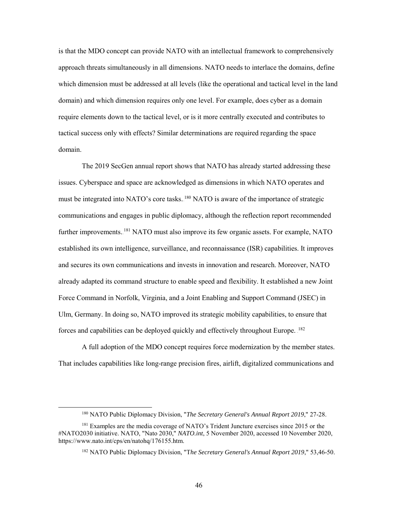is that the MDO concept can provide NATO with an intellectual framework to comprehensively approach threats simultaneously in all dimensions. NATO needs to interlace the domains, define which dimension must be addressed at all levels (like the operational and tactical level in the land domain) and which dimension requires only one level. For example, does cyber as a domain require elements down to the tactical level, or is it more centrally executed and contributes to tactical success only with effects? Similar determinations are required regarding the space domain.

The 2019 SecGen annual report shows that NATO has already started addressing these issues. Cyberspace and space are acknowledged as dimensions in which NATO operates and must be integrated into NATO's core tasks. <sup>180</sup> NATO is aware of the importance of strategic communications and engages in public diplomacy, although the reflection report recommended further improvements.<sup>181</sup> NATO must also improve its few organic assets. For example, NATO established its own intelligence, surveillance, and reconnaissance (ISR) capabilities. It improves and secures its own communications and invests in innovation and research. Moreover, NATO already adapted its command structure to enable speed and flexibility. It established a new Joint Force Command in Norfolk, Virginia, and a Joint Enabling and Support Command (JSEC) in Ulm, Germany. In doing so, NATO improved its strategic mobility capabilities, to ensure that forces and capabilities can be deployed quickly and effectively throughout Europe. <sup>182</sup>

A full adoption of the MDO concept requires force modernization by the member states. That includes capabilities like long-range precision fires, airlift, digitalized communications and

 <sup>180</sup> NATO Public Diplomacy Division, "*The Secretary General's Annual Report 2019*," 27-28.

<sup>&</sup>lt;sup>181</sup> Examples are the media coverage of NATO's Trident Juncture exercises since 2015 or the #NATO2030 initiative. NATO, "Nato 2030," *NATO.int*, 5 November 2020, accessed 10 November 2020, https://www.nato.int/cps/en/natohq/176155.htm.

<sup>182</sup> NATO Public Diplomacy Division, "T*he Secretary General's Annual Report 2019*," 53,46-50.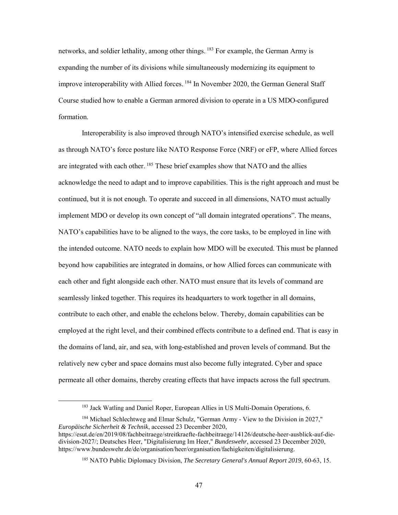networks, and soldier lethality, among other things. <sup>183</sup> For example, the German Army is expanding the number of its divisions while simultaneously modernizing its equipment to improve interoperability with Allied forces. <sup>184</sup> In November 2020, the German General Staff Course studied how to enable a German armored division to operate in a US MDO-configured formation.

Interoperability is also improved through NATO's intensified exercise schedule, as well as through NATO's force posture like NATO Response Force (NRF) or eFP, where Allied forces are integrated with each other. <sup>185</sup> These brief examples show that NATO and the allies acknowledge the need to adapt and to improve capabilities. This is the right approach and must be continued, but it is not enough. To operate and succeed in all dimensions, NATO must actually implement MDO or develop its own concept of "all domain integrated operations". The means, NATO's capabilities have to be aligned to the ways, the core tasks, to be employed in line with the intended outcome. NATO needs to explain how MDO will be executed. This must be planned beyond how capabilities are integrated in domains, or how Allied forces can communicate with each other and fight alongside each other. NATO must ensure that its levels of command are seamlessly linked together. This requires its headquarters to work together in all domains, contribute to each other, and enable the echelons below. Thereby, domain capabilities can be employed at the right level, and their combined effects contribute to a defined end. That is easy in the domains of land, air, and sea, with long-established and proven levels of command. But the relatively new cyber and space domains must also become fully integrated. Cyber and space permeate all other domains, thereby creating effects that have impacts across the full spectrum.

<sup>&</sup>lt;sup>183</sup> Jack Watling and Daniel Roper, European Allies in US Multi-Domain Operations, 6.

<sup>184</sup> Michael Schlechtweg and Elmar Schulz, "German Army - View to the Division in 2027," *Europäische Sicherheit & Technik*, accessed 23 December 2020, https://esut.de/en/2019/08/fachbeitraege/streitkraefte-fachbeitraege/14126/deutsche-heer-ausblick-auf-diedivision-2027/; Deutsches Heer, "Digitalisierung Im Heer," *Bundeswehr*, accessed 23 December 2020, https://www.bundeswehr.de/de/organisation/heer/organisation/faehigkeiten/digitalisierung.

<sup>185</sup> NATO Public Diplomacy Division, *The Secretary General's Annual Report 2019*, 60-63, 15.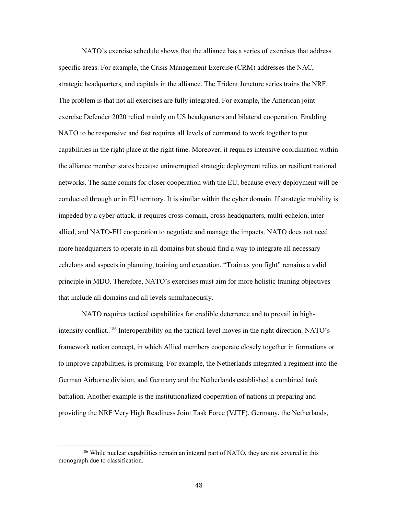NATO's exercise schedule shows that the alliance has a series of exercises that address specific areas. For example, the Crisis Management Exercise (CRM) addresses the NAC, strategic headquarters, and capitals in the alliance. The Trident Juncture series trains the NRF. The problem is that not all exercises are fully integrated. For example, the American joint exercise Defender 2020 relied mainly on US headquarters and bilateral cooperation. Enabling NATO to be responsive and fast requires all levels of command to work together to put capabilities in the right place at the right time. Moreover, it requires intensive coordination within the alliance member states because uninterrupted strategic deployment relies on resilient national networks. The same counts for closer cooperation with the EU, because every deployment will be conducted through or in EU territory. It is similar within the cyber domain. If strategic mobility is impeded by a cyber-attack, it requires cross-domain, cross-headquarters, multi-echelon, interallied, and NATO-EU cooperation to negotiate and manage the impacts. NATO does not need more headquarters to operate in all domains but should find a way to integrate all necessary echelons and aspects in planning, training and execution. "Train as you fight" remains a valid principle in MDO. Therefore, NATO's exercises must aim for more holistic training objectives that include all domains and all levels simultaneously.

NATO requires tactical capabilities for credible deterrence and to prevail in highintensity conflict.<sup>186</sup> Interoperability on the tactical level moves in the right direction. NATO's framework nation concept, in which Allied members cooperate closely together in formations or to improve capabilities, is promising. For example, the Netherlands integrated a regiment into the German Airborne division, and Germany and the Netherlands established a combined tank battalion. Another example is the institutionalized cooperation of nations in preparing and providing the NRF Very High Readiness Joint Task Force (VJTF). Germany, the Netherlands,

<sup>&</sup>lt;sup>186</sup> While nuclear capabilities remain an integral part of NATO, they are not covered in this monograph due to classification.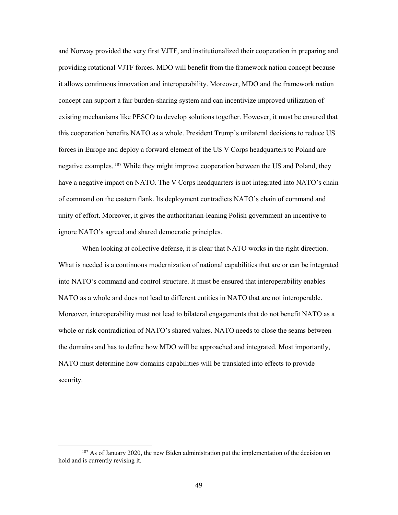and Norway provided the very first VJTF, and institutionalized their cooperation in preparing and providing rotational VJTF forces. MDO will benefit from the framework nation concept because it allows continuous innovation and interoperability. Moreover, MDO and the framework nation concept can support a fair burden-sharing system and can incentivize improved utilization of existing mechanisms like PESCO to develop solutions together. However, it must be ensured that this cooperation benefits NATO as a whole. President Trump's unilateral decisions to reduce US forces in Europe and deploy a forward element of the US V Corps headquarters to Poland are negative examples. <sup>187</sup> While they might improve cooperation between the US and Poland, they have a negative impact on NATO. The V Corps headquarters is not integrated into NATO's chain of command on the eastern flank. Its deployment contradicts NATO's chain of command and unity of effort. Moreover, it gives the authoritarian-leaning Polish government an incentive to ignore NATO's agreed and shared democratic principles.

When looking at collective defense, it is clear that NATO works in the right direction. What is needed is a continuous modernization of national capabilities that are or can be integrated into NATO's command and control structure. It must be ensured that interoperability enables NATO as a whole and does not lead to different entities in NATO that are not interoperable. Moreover, interoperability must not lead to bilateral engagements that do not benefit NATO as a whole or risk contradiction of NATO's shared values. NATO needs to close the seams between the domains and has to define how MDO will be approached and integrated. Most importantly, NATO must determine how domains capabilities will be translated into effects to provide security.

 $187$  As of January 2020, the new Biden administration put the implementation of the decision on hold and is currently revising it.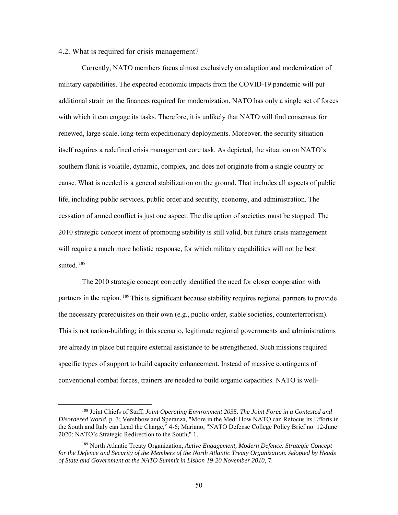## 4.2. What is required for crisis management?

Currently, NATO members focus almost exclusively on adaption and modernization of military capabilities. The expected economic impacts from the COVID-19 pandemic will put additional strain on the finances required for modernization. NATO has only a single set of forces with which it can engage its tasks. Therefore, it is unlikely that NATO will find consensus for renewed, large-scale, long-term expeditionary deployments. Moreover, the security situation itself requires a redefined crisis management core task. As depicted, the situation on NATO's southern flank is volatile, dynamic, complex, and does not originate from a single country or cause. What is needed is a general stabilization on the ground. That includes all aspects of public life, including public services, public order and security, economy, and administration. The cessation of armed conflict is just one aspect. The disruption of societies must be stopped. The 2010 strategic concept intent of promoting stability is still valid, but future crisis management will require a much more holistic response, for which military capabilities will not be best suited.<sup>188</sup>

The 2010 strategic concept correctly identified the need for closer cooperation with partners in the region. <sup>189</sup> This is significant because stability requires regional partners to provide the necessary prerequisites on their own (e.g., public order, stable societies, counterterrorism). This is not nation-building; in this scenario, legitimate regional governments and administrations are already in place but require external assistance to be strengthened. Such missions required specific types of support to build capacity enhancement. Instead of massive contingents of conventional combat forces, trainers are needed to build organic capacities. NATO is well-

 <sup>188</sup> Joint Chiefs of Staff, *Joint Operating Environment 2035. The Joint Force in a Contested and Disordered World*, p. 3; Vershbow and Speranza, "More in the Med: How NATO can Refocus its Efforts in the South and Italy can Lead the Charge," 4-6; Mariano, "NATO Defense College Policy Brief no. 12-June 2020: NATO's Strategic Redirection to the South," 1.

<sup>189</sup> North Atlantic Treaty Organization, *Active Engagement, Modern Defence. Strategic Concept for the Defence and Security of the Members of the North Atlantic Treaty Organization. Adopted by Heads of State and Government at the NATO Summit in Lisbon 19-20 November 2010*, 7.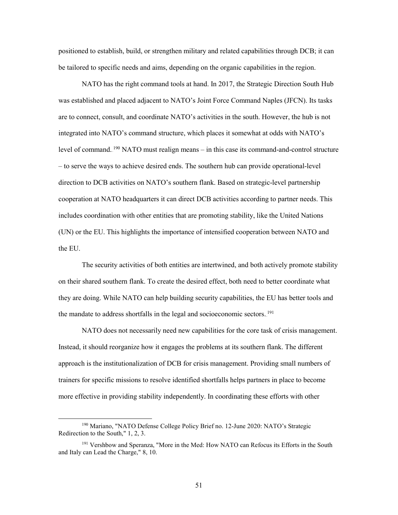positioned to establish, build, or strengthen military and related capabilities through DCB; it can be tailored to specific needs and aims, depending on the organic capabilities in the region.

NATO has the right command tools at hand. In 2017, the Strategic Direction South Hub was established and placed adjacent to NATO's Joint Force Command Naples (JFCN). Its tasks are to connect, consult, and coordinate NATO's activities in the south. However, the hub is not integrated into NATO's command structure, which places it somewhat at odds with NATO's level of command.<sup>190</sup> NATO must realign means  $-$  in this case its command-and-control structure – to serve the ways to achieve desired ends. The southern hub can provide operational-level direction to DCB activities on NATO's southern flank. Based on strategic-level partnership cooperation at NATO headquarters it can direct DCB activities according to partner needs. This includes coordination with other entities that are promoting stability, like the United Nations (UN) or the EU. This highlights the importance of intensified cooperation between NATO and the EU.

The security activities of both entities are intertwined, and both actively promote stability on their shared southern flank. To create the desired effect, both need to better coordinate what they are doing. While NATO can help building security capabilities, the EU has better tools and the mandate to address shortfalls in the legal and socioeconomic sectors.<sup>191</sup>

NATO does not necessarily need new capabilities for the core task of crisis management. Instead, it should reorganize how it engages the problems at its southern flank. The different approach is the institutionalization of DCB for crisis management. Providing small numbers of trainers for specific missions to resolve identified shortfalls helps partners in place to become more effective in providing stability independently. In coordinating these efforts with other

 <sup>190</sup> Mariano, "NATO Defense College Policy Brief no. 12-June 2020: NATO's Strategic Redirection to the South," 1, 2, 3.

<sup>191</sup> Vershbow and Speranza, "More in the Med: How NATO can Refocus its Efforts in the South and Italy can Lead the Charge," 8, 10.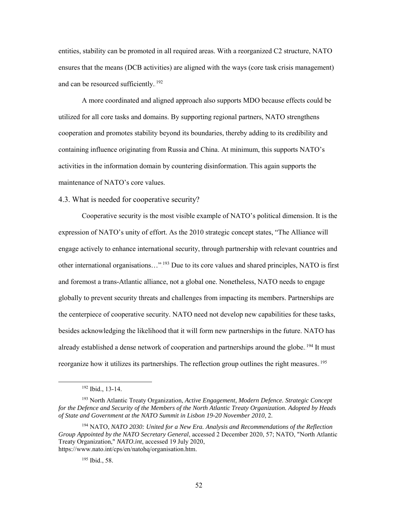entities, stability can be promoted in all required areas. With a reorganized C2 structure, NATO ensures that the means (DCB activities) are aligned with the ways (core task crisis management) and can be resourced sufficiently. $192$ 

A more coordinated and aligned approach also supports MDO because effects could be utilized for all core tasks and domains. By supporting regional partners, NATO strengthens cooperation and promotes stability beyond its boundaries, thereby adding to its credibility and containing influence originating from Russia and China. At minimum, this supports NATO's activities in the information domain by countering disinformation. This again supports the maintenance of NATO's core values.

### 4.3. What is needed for cooperative security?

Cooperative security is the most visible example of NATO's political dimension. It is the expression of NATO's unity of effort. As the 2010 strategic concept states, "The Alliance will engage actively to enhance international security, through partnership with relevant countries and other international organisations..."<sup>193</sup> Due to its core values and shared principles, NATO is first and foremost a trans-Atlantic alliance, not a global one. Nonetheless, NATO needs to engage globally to prevent security threats and challenges from impacting its members. Partnerships are the centerpiece of cooperative security. NATO need not develop new capabilities for these tasks, besides acknowledging the likelihood that it will form new partnerships in the future. NATO has already established a dense network of cooperation and partnerships around the globe. <sup>194</sup> It must reorganize how it utilizes its partnerships. The reflection group outlines the right measures. <sup>195</sup>

 <sup>192</sup> Ibid., 13-14.

<sup>193</sup> North Atlantic Treaty Organization, *Active Engagement, Modern Defence. Strategic Concept for the Defence and Security of the Members of the North Atlantic Treaty Organization. Adopted by Heads of State and Government at the NATO Summit in Lisbon 19-20 November 2010*, 2.

<sup>194</sup> NATO, *NATO 2030: United for a New Era. Analysis and Recommendations of the Reflection Group Appointed by the NATO Secretary General*, accessed 2 December 2020, 57; NATO, "North Atlantic Treaty Organization," *NATO.int*, accessed 19 July 2020, https://www.nato.int/cps/en/natohq/organisation.htm.

<sup>195</sup> Ibid., 58.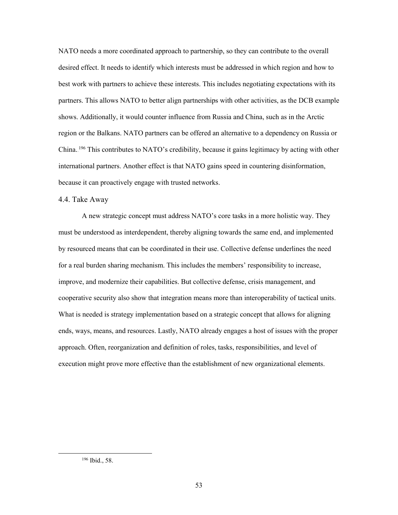NATO needs a more coordinated approach to partnership, so they can contribute to the overall desired effect. It needs to identify which interests must be addressed in which region and how to best work with partners to achieve these interests. This includes negotiating expectations with its partners. This allows NATO to better align partnerships with other activities, as the DCB example shows. Additionally, it would counter influence from Russia and China, such as in the Arctic region or the Balkans. NATO partners can be offered an alternative to a dependency on Russia or China.<sup>196</sup> This contributes to NATO's credibility, because it gains legitimacy by acting with other international partners. Another effect is that NATO gains speed in countering disinformation, because it can proactively engage with trusted networks.

### 4.4. Take Away

A new strategic concept must address NATO's core tasks in a more holistic way. They must be understood as interdependent, thereby aligning towards the same end, and implemented by resourced means that can be coordinated in their use. Collective defense underlines the need for a real burden sharing mechanism. This includes the members' responsibility to increase, improve, and modernize their capabilities. But collective defense, crisis management, and cooperative security also show that integration means more than interoperability of tactical units. What is needed is strategy implementation based on a strategic concept that allows for aligning ends, ways, means, and resources. Lastly, NATO already engages a host of issues with the proper approach. Often, reorganization and definition of roles, tasks, responsibilities, and level of execution might prove more effective than the establishment of new organizational elements.

 <sup>196</sup> Ibid., 58.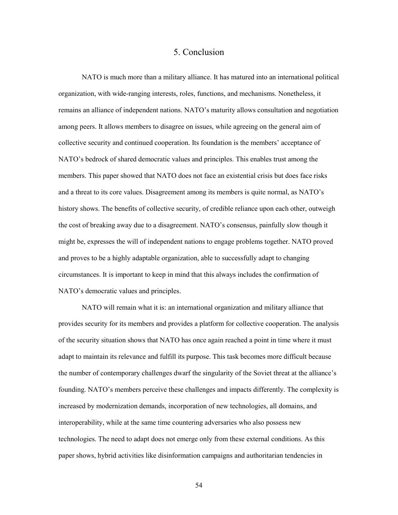# 5. Conclusion

NATO is much more than a military alliance. It has matured into an international political organization, with wide-ranging interests, roles, functions, and mechanisms. Nonetheless, it remains an alliance of independent nations. NATO's maturity allows consultation and negotiation among peers. It allows members to disagree on issues, while agreeing on the general aim of collective security and continued cooperation. Its foundation is the members' acceptance of NATO's bedrock of shared democratic values and principles. This enables trust among the members. This paper showed that NATO does not face an existential crisis but does face risks and a threat to its core values. Disagreement among its members is quite normal, as NATO's history shows. The benefits of collective security, of credible reliance upon each other, outweigh the cost of breaking away due to a disagreement. NATO's consensus, painfully slow though it might be, expresses the will of independent nations to engage problems together. NATO proved and proves to be a highly adaptable organization, able to successfully adapt to changing circumstances. It is important to keep in mind that this always includes the confirmation of NATO's democratic values and principles.

NATO will remain what it is: an international organization and military alliance that provides security for its members and provides a platform for collective cooperation. The analysis of the security situation shows that NATO has once again reached a point in time where it must adapt to maintain its relevance and fulfill its purpose. This task becomes more difficult because the number of contemporary challenges dwarf the singularity of the Soviet threat at the alliance's founding. NATO's members perceive these challenges and impacts differently. The complexity is increased by modernization demands, incorporation of new technologies, all domains, and interoperability, while at the same time countering adversaries who also possess new technologies. The need to adapt does not emerge only from these external conditions. As this paper shows, hybrid activities like disinformation campaigns and authoritarian tendencies in

54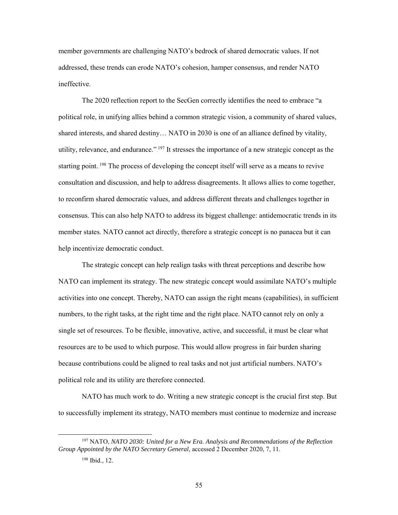member governments are challenging NATO's bedrock of shared democratic values. If not addressed, these trends can erode NATO's cohesion, hamper consensus, and render NATO ineffective.

The 2020 reflection report to the SecGen correctly identifies the need to embrace "a political role, in unifying allies behind a common strategic vision, a community of shared values, shared interests, and shared destiny… NATO in 2030 is one of an alliance defined by vitality, utility, relevance, and endurance." $^{197}$  It stresses the importance of a new strategic concept as the starting point.<sup>198</sup> The process of developing the concept itself will serve as a means to revive consultation and discussion, and help to address disagreements. It allows allies to come together, to reconfirm shared democratic values, and address different threats and challenges together in consensus. This can also help NATO to address its biggest challenge: antidemocratic trends in its member states. NATO cannot act directly, therefore a strategic concept is no panacea but it can help incentivize democratic conduct.

The strategic concept can help realign tasks with threat perceptions and describe how NATO can implement its strategy. The new strategic concept would assimilate NATO's multiple activities into one concept. Thereby, NATO can assign the right means (capabilities), in sufficient numbers, to the right tasks, at the right time and the right place. NATO cannot rely on only a single set of resources. To be flexible, innovative, active, and successful, it must be clear what resources are to be used to which purpose. This would allow progress in fair burden sharing because contributions could be aligned to real tasks and not just artificial numbers. NATO's political role and its utility are therefore connected.

NATO has much work to do. Writing a new strategic concept is the crucial first step. But to successfully implement its strategy, NATO members must continue to modernize and increase

 <sup>197</sup> NATO, *NATO 2030: United for a New Era. Analysis and Recommendations of the Reflection Group Appointed by the NATO Secretary General*, accessed 2 December 2020, 7, 11.

<sup>198</sup> Ibid., 12.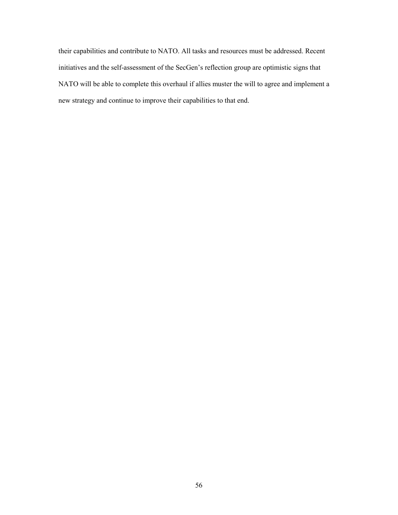their capabilities and contribute to NATO. All tasks and resources must be addressed. Recent initiatives and the self-assessment of the SecGen's reflection group are optimistic signs that NATO will be able to complete this overhaul if allies muster the will to agree and implement a new strategy and continue to improve their capabilities to that end.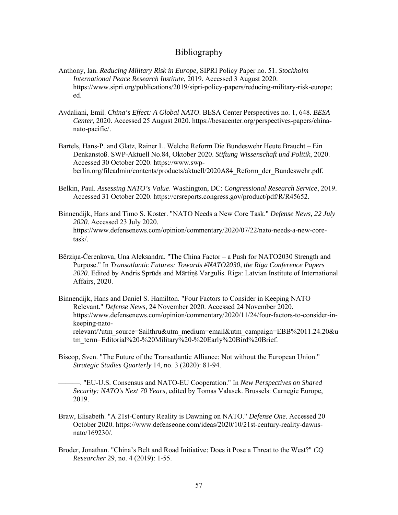# Bibliography

- Anthony, Ian. *Reducing Military Risk in Europe,* SIPRI Policy Paper no. 51. *Stockholm International Peace Research Institute*, 2019. Accessed 3 August 2020. https://www.sipri.org/publications/2019/sipri-policy-papers/reducing-military-risk-europe; ed.
- Avdaliani, Emil. *China's Effect: A Global NATO*. BESA Center Perspectives no. 1, 648. *BESA Center*, 2020. Accessed 25 August 2020. https://besacenter.org/perspectives-papers/chinanato-pacific/.
- Bartels, Hans-P. and Glatz, Rainer L. Welche Reform Die Bundeswehr Heute Braucht Ein Denkanstoß. SWP-Aktuell No.84, Oktober 2020. *Stiftung Wissenschaft und Politik*, 2020. Accessed 30 October 2020. https://www.swpberlin.org/fileadmin/contents/products/aktuell/2020A84\_Reform\_der\_Bundeswehr.pdf.
- Belkin, Paul. *Assessing NATO's Value*. Washington, DC: *Congressional Research Service*, 2019. Accessed 31 October 2020. https://crsreports.congress.gov/product/pdf/R/R45652.
- Binnendijk, Hans and Timo S. Koster. "NATO Needs a New Core Task." *Defense News, 22 July 2020*. Accessed 23 July 2020. https://www.defensenews.com/opinion/commentary/2020/07/22/nato-needs-a-new-coretask/.
- Bērziņa-Čerenkova, Una Aleksandra. "The China Factor a Push for NATO2030 Strength and Purpose." In *Transatlantic Futures: Towards #NATO2030, the Riga Conference Papers 2020*. Edited by Andris Sprūds and Mārtiņš Vargulis. Riga: Latvian Institute of International Affairs, 2020.
- Binnendijk, Hans and Daniel S. Hamilton. "Four Factors to Consider in Keeping NATO Relevant." *Defense News,* 24 November 2020. Accessed 24 November 2020. https://www.defensenews.com/opinion/commentary/2020/11/24/four-factors-to-consider-inkeeping-natorelevant/?utm\_source=Sailthru&utm\_medium=email&utm\_campaign=EBB%2011.24.20&u tm\_term=Editorial%20-%20Military%20-%20Early%20Bird%20Brief.
- Biscop, Sven. "The Future of the Transatlantic Alliance: Not without the European Union." *Strategic Studies Quarterly* 14, no. 3 (2020): 81-94.
	- ———. "EU-U.S. Consensus and NATO-EU Cooperation." In *New Perspectives on Shared Security: NATO's Next 70 Years*, edited by Tomas Valasek. Brussels: Carnegie Europe, 2019.
- Braw, Elisabeth. "A 21st-Century Reality is Dawning on NATO." *Defense One*. Accessed 20 October 2020. [https://www.defenseone.com/ideas/2020/10/21st-century-reality-dawns](https://www.defenseone.com/ideas/2020/10/21st-century-reality-dawns-nato/169230/)[nato/169230/.](https://www.defenseone.com/ideas/2020/10/21st-century-reality-dawns-nato/169230/)
- Broder, Jonathan. "China's Belt and Road Initiative: Does it Pose a Threat to the West?" *CQ Researcher* 29, no. 4 (2019): 1-55.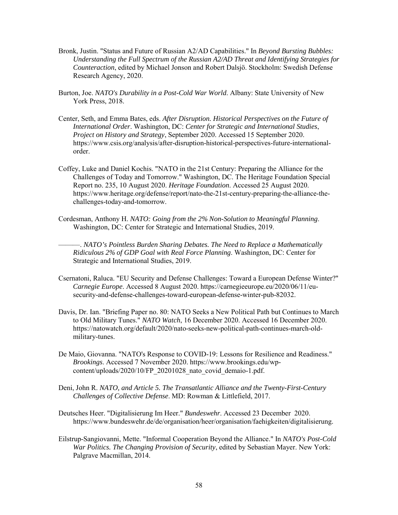- Bronk, Justin. "Status and Future of Russian A2/AD Capabilities." In *Beyond Bursting Bubbles: Understanding the Full Spectrum of the Russian A2/AD Threat and Identifying Strategies for Counteraction*, edited by Michael Jonson and Robert Dalsjö. Stockholm: Swedish Defense Research Agency, 2020.
- Burton, Joe. *NATO's Durability in a Post-Cold War World*. Albany: State University of New York Press, 2018.
- Center, Seth, and Emma Bates, eds. *After Disruption. Historical Perspectives on the Future of International Order*. Washington, DC: *Center for Strategic and International Studies*, *Project on History and Strategy*, September 2020. Accessed 15 September 2020. https://www.csis.org/analysis/after-disruption-historical-perspectives-future-internationalorder.
- Coffey, Luke and Daniel Kochis. "NATO in the 21st Century: Preparing the Alliance for the Challenges of Today and Tomorrow." Washington, DC. The Heritage Foundation Special Report no. 235, 10 August 2020. *Heritage Foundation*. Accessed 25 August 2020. https://www.heritage.org/defense/report/nato-the-21st-century-preparing-the-alliance-thechallenges-today-and-tomorrow.
- Cordesman, Anthony H. *NATO: Going from the 2% Non-Solution to Meaningful Planning*. Washington, DC: Center for Strategic and International Studies, 2019.

———. *NATO's Pointless Burden Sharing Debates. The Need to Replace a Mathematically Ridiculous 2% of GDP Goal with Real Force Planning*. Washington, DC: Center for Strategic and International Studies, 2019.

- Csernatoni, Raluca. "EU Security and Defense Challenges: Toward a European Defense Winter?" *Carnegie Europe*. Accessed 8 August 2020. https://carnegieeurope.eu/2020/06/11/eusecurity-and-defense-challenges-toward-european-defense-winter-pub-82032.
- Davis, Dr. Ian. "Briefing Paper no. 80: NATO Seeks a New Political Path but Continues to March to Old Military Tunes." *NATO Watch*, 16 December 2020. Accessed 16 December 2020. https://natowatch.org/default/2020/nato-seeks-new-political-path-continues-march-oldmilitary-tunes.
- De Maio, Giovanna. "NATO's Response to COVID-19: Lessons for Resilience and Readiness." *Brookings*. Accessed 7 November 2020. https://www.brookings.edu/wpcontent/uploads/2020/10/FP\_20201028\_nato\_covid\_demaio-1.pdf.
- Deni, John R. *NATO, and Article 5. The Transatlantic Alliance and the Twenty-First-Century Challenges of Collective Defense*. MD: Rowman & Littlefield, 2017.
- Deutsches Heer. "Digitalisierung Im Heer." *Bundeswehr*. Accessed 23 December 2020. https://www.bundeswehr.de/de/organisation/heer/organisation/faehigkeiten/digitalisierung.
- Eilstrup-Sangiovanni, Mette. "Informal Cooperation Beyond the Alliance." In *NATO's Post-Cold War Politics. The Changing Provision of Security*, edited by Sebastian Mayer. New York: Palgrave Macmillan, 2014.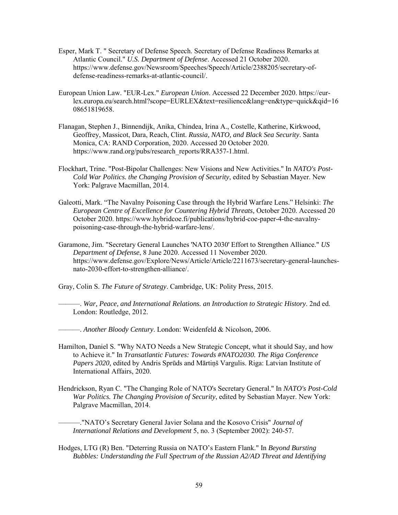- Esper, Mark T. " Secretary of Defense Speech. Secretary of Defense Readiness Remarks at Atlantic Council." *U.S. Department of Defense*. Accessed 21 October 2020. https://www.defense.gov/Newsroom/Speeches/Speech/Article/2388205/secretary-ofdefense-readiness-remarks-at-atlantic-council/.
- European Union Law. "EUR-Lex." *European Union*. Accessed 22 December 2020. https://eurlex.europa.eu/search.html?scope=EURLEX&text=resilience&lang=en&type=quick&qid=16 08651819658.
- Flanagan, Stephen J., Binnendijk, Anika, Chindea, Irina A., Costelle, Katherine, Kirkwood, Geoffrey, Massicot, Dara, Reach, Clint. *Russia, NATO, and Black Sea Security*. Santa Monica, CA: RAND Corporation, 2020. Accessed 20 October 2020. https://www.rand.org/pubs/research\_reports/RRA357-1.html.
- Flockhart, Trine. "Post-Bipolar Challenges: New Visions and New Activities." In *NATO's Post-Cold War Politics. the Changing Provision of Security*, edited by Sebastian Mayer. New York: Palgrave Macmillan, 2014.
- Galeotti, Mark. "The Navalny Poisoning Case through the Hybrid Warfare Lens." Helsinki: *The European Centre of Excellence for Countering Hybrid Threats,* October 2020. Accessed 20 October 2020. https://www.hybridcoe.fi/publications/hybrid-coe-paper-4-the-navalnypoisoning-case-through-the-hybrid-warfare-lens/.
- Garamone, Jim. "Secretary General Launches 'NATO 2030' Effort to Strengthen Alliance." *US Department of Defense*, 8 June 2020. Accessed 11 November 2020. https://www.defense.gov/Explore/News/Article/Article/2211673/secretary-general-launchesnato-2030-effort-to-strengthen-alliance/.

Gray, Colin S. *The Future of Strategy*. Cambridge, UK: Polity Press, 2015.

———. *War, Peace, and International Relations. an Introduction to Strategic History*. 2nd ed. London: Routledge, 2012.

———. *Another Bloody Century*. London: Weidenfeld & Nicolson, 2006.

- Hamilton, Daniel S. "Why NATO Needs a New Strategic Concept, what it should Say, and how to Achieve it." In *Transatlantic Futures: Towards #NATO2030. The Riga Conference Papers 2020,* edited by Andris Sprūds and Mārtiņš Vargulis. Riga: Latvian Institute of International Affairs, 2020.
- Hendrickson, Ryan C. "The Changing Role of NATO's Secretary General." In *NATO's Post-Cold War Politics. The Changing Provision of Security*, edited by Sebastian Mayer. New York: Palgrave Macmillan, 2014.

———."NATO's Secretary General Javier Solana and the Kosovo Crisis" *Journal of International Relations and Development* 5, no. 3 (September 2002): 240-57.

Hodges, LTG (R) Ben. "Deterring Russia on NATO's Eastern Flank." In *Beyond Bursting Bubbles: Understanding the Full Spectrum of the Russian A2/AD Threat and Identifying*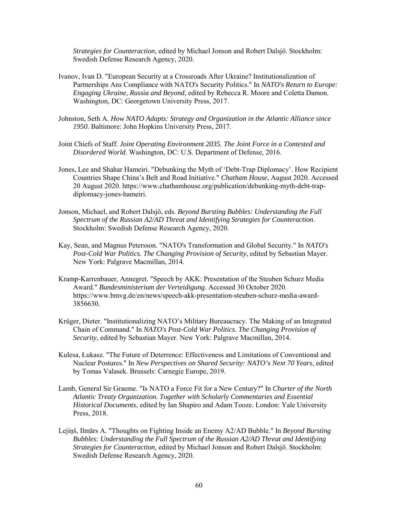*Strategies for Counteraction*, edited by Michael Jonson and Robert Dalsjö. Stockholm: Swedish Defense Research Agency, 2020.

- Ivanov, Ivan D. "European Security at a Crossroads After Ukraine? Institutionalization of Partnerships Ans Compliance with NATO's Security Politics." In *NATO's Return to Europe: Engaging Ukraine, Russia and Beyond*, edited by Rebecca R. Moore and Coletta Damon. Washington, DC: Georgetown University Press, 2017.
- Johnston, Seth A. *How NATO Adapts: Strategy and Organization in the Atlantic Alliance since 1950*. Baltimore: John Hopkins University Press, 2017.
- Joint Chiefs of Staff. *Joint Operating Environment 2035. The Joint Force in a Contested and Disordered World*. Washington, DC: U.S. Department of Defense, 2016.
- Jones, Lee and Shahar Hameiri. "Debunking the Myth of 'Debt-Trap Diplomacy'. How Recipient Countries Shape China's Belt and Road Initiative." *Chatham House*, August 2020. Accessed 20 August 2020. https://www.chathamhouse.org/publication/debunking-myth-debt-trapdiplomacy-jones-hameiri.
- Jonson, Michael, and Robert Dalsjö, eds. *Beyond Bursting Bubbles: Understanding the Full Spectrum of the Russian A2/AD Threat and Identifying Strategies for Counteraction*. Stockholm: Swedish Defense Research Agency, 2020.
- Kay, Sean, and Magnus Petersson. "NATO's Transformation and Global Security." In *NATO's Post-Cold War Politics. The Changing Provision of Security*, edited by Sebastian Mayer. New York: Palgrave Macmillan, 2014.
- Kramp-Karrenbauer, Annegret. "Speech by AKK: Presentation of the Steuben Schurz Media Award." *Bundesministerium der Verteidigung*. Accessed 30 October 2020. https://www.bmvg.de/en/news/speech-akk-presentation-steuben-schurz-media-award-3856630.
- Krüger, Dieter. "Institutionalizing NATO's Military Bureaucracy. The Making of an Integrated Chain of Command." In *NATO's Post-Cold War Politics. The Changing Provision of Security*, edited by Sebastian Mayer. New York: Palgrave Macmillan, 2014.
- Kulesa, Łukasz. "The Future of Deterrence: Effectiveness and Limitations of Conventional and Nuclear Postures." In *New Perspectives on Shared Security: NATO's Next 70 Years*, edited by Tomas Valasek. Brussels: Carnegie Europe, 2019.
- Lamb, General Sir Graeme. "Is NATO a Force Fit for a New Century?" In *Charter of the North Atlantic Treaty Organization. Together with Scholarly Commentaries and Essential Historical Documents*, edited by Ian Shapiro and Adam Tooze. London: Yale University Press, 2018.
- Lejiņš, Ilmārs A. "Thoughts on Fighting Inside an Enemy A2/AD Bubble." In *Beyond Bursting Bubbles: Understanding the Full Spectrum of the Russian A2/AD Threat and Identifying Strategies for Counteraction*, edited by Michael Jonson and Robert Dalsjö. Stockholm: Swedish Defense Research Agency, 2020.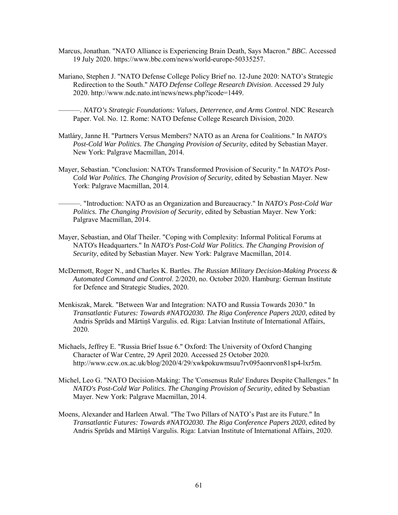- Marcus, Jonathan. "NATO Alliance is Experiencing Brain Death, Says Macron." *BBC*. Accessed 19 July 2020. https://www.bbc.com/news/world-europe-50335257.
- Mariano, Stephen J. "NATO Defense College Policy Brief no. 12-June 2020: NATO's Strategic Redirection to the South." *NATO Defense College Research Division*. Accessed 29 July 2020. http://www.ndc.nato.int/news/news.php?icode=1449.

———. *NATO's Strategic Foundations: Values, Deterrence, and Arms Control*. NDC Research Paper. Vol. No. 12. Rome: NATO Defense College Research Division, 2020.

- Matláry, Janne H. "Partners Versus Members? NATO as an Arena for Coalitions." In *NATO's Post-Cold War Politics. The Changing Provision of Security*, edited by Sebastian Mayer. New York: Palgrave Macmillan, 2014.
- Mayer, Sebastian. "Conclusion: NATO's Transformed Provision of Security." In *NATO's Post-Cold War Politics. The Changing Provision of Security*, edited by Sebastian Mayer. New York: Palgrave Macmillan, 2014.
	- ———. "Introduction: NATO as an Organization and Bureaucracy." In *NATO's Post-Cold War Politics. The Changing Provision of Security*, edited by Sebastian Mayer. New York: Palgrave Macmillan, 2014.
- Mayer, Sebastian, and Olaf Theiler. "Coping with Complexity: Informal Political Forums at NATO's Headquarters." In *NATO's Post-Cold War Politics. The Changing Provision of Security*, edited by Sebastian Mayer. New York: Palgrave Macmillan, 2014.
- McDermott, Roger N., and Charles K. Bartles. *The Russian Military Decision-Making Process & Automated Command and Control*. 2/2020, no. October 2020. Hamburg: German Institute for Defence and Strategic Studies, 2020.
- Menkiszak, Marek. "Between War and Integration: NATO and Russia Towards 2030." In *Transatlantic Futures: Towards #NATO2030. The Riga Conference Papers 2020*, edited by Andris Sprūds and Mārtiņš Vargulis. ed. Riga: Latvian Institute of International Affairs, 2020.
- Michaels, Jeffrey E. "Russia Brief Issue 6." Oxford: The University of Oxford Changing Character of War Centre, 29 April 2020. Accessed 25 October 2020. http://www.ccw.ox.ac.uk/blog/2020/4/29/xwkpokuwmsuu7rv095aonrvon81sp4-lxr5m.
- Michel, Leo G. "NATO Decision-Making: The 'Consensus Rule' Endures Despite Challenges." In *NATO's Post-Cold War Politics. The Changing Provision of Security*, edited by Sebastian Mayer. New York: Palgrave Macmillan, 2014.
- Moens, Alexander and Harleen Atwal. "The Two Pillars of NATO's Past are its Future." In *Transatlantic Futures: Towards #NATO2030. The Riga Conference Papers 2020*, edited by Andris Sprūds and Mārtiņš Vargulis. Riga: Latvian Institute of International Affairs, 2020.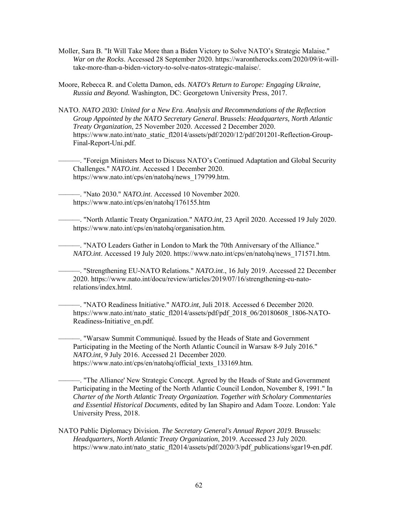Moller, Sara B. "It Will Take More than a Biden Victory to Solve NATO's Strategic Malaise." *War on the Rocks*. Accessed 28 September 2020. https://warontherocks.com/2020/09/it-willtake-more-than-a-biden-victory-to-solve-natos-strategic-malaise/.

Moore, Rebecca R. and Coletta Damon, eds. *NATO's Return to Europe: Engaging Ukraine, Russia and Beyond.* Washington, DC: Georgetown University Press, 2017.

NATO. *NATO 2030: United for a New Era. Analysis and Recommendations of the Reflection Group Appointed by the NATO Secretary General*. Brussels: *Headquarters, North Atlantic Treaty Organization*, 25 November 2020. Accessed 2 December 2020. https://www.nato.int/nato\_static\_fl2014/assets/pdf/2020/12/pdf/201201-Reflection-Group-Final-Report-Uni.pdf.

———. "Foreign Ministers Meet to Discuss NATO's Continued Adaptation and Global Security Challenges." *NATO.int*. Accessed 1 December 2020. https://www.nato.int/cps/en/natohq/news\_179799.htm.

———. "Nato 2030." *NATO.int*. Accessed 10 November 2020. https://www.nato.int/cps/en/natohq/176155.htm

———. "North Atlantic Treaty Organization." *NATO.int*, 23 April 2020. Accessed 19 July 2020. https://www.nato.int/cps/en/natohq/organisation.htm.

———. "NATO Leaders Gather in London to Mark the 70th Anniversary of the Alliance." *NATO.int*. Accessed 19 July 2020. https://www.nato.int/cps/en/natohq/news\_171571.htm.

———. "Strengthening EU-NATO Relations." *NATO.int*., 16 July 2019. Accessed 22 December 2020. https://www.nato.int/docu/review/articles/2019/07/16/strengthening-eu-natorelations/index.html.

———. "NATO Readiness Initiative." *NATO.int*, Juli 2018. Accessed 6 December 2020. [https://www.nato.int/nato\\_static\\_fl2014/assets/pdf/pdf\\_2018\\_06/20180608\\_1806-NATO-](https://www.nato.int/nato_static_fl2014/assets/pdf/pdf_2018_06/20180608_1806-NATO-Readiness-Initiative_en.pdf)[Readiness-Initiative\\_en.pdf.](https://www.nato.int/nato_static_fl2014/assets/pdf/pdf_2018_06/20180608_1806-NATO-Readiness-Initiative_en.pdf)

———. "Warsaw Summit Communiqué. Issued by the Heads of State and Government Participating in the Meeting of the North Atlantic Council in Warsaw 8-9 July 2016." *NATO.int*, 9 July 2016. Accessed 21 December 2020. https://www.nato.int/cps/en/natohq/official\_texts\_133169.htm.

———. "The Alliance' New Strategic Concept. Agreed by the Heads of State and Government Participating in the Meeting of the North Atlantic Council London, November 8, 1991." In *Charter of the North Atlantic Treaty Organization. Together with Scholary Commentaries and Essential Historical Documents*, edited by Ian Shapiro and Adam Tooze. London: Yale University Press, 2018.

NATO Public Diplomacy Division. *The Secretary General's Annual Report 2019*. Brussels: *Headquarters, North Atlantic Treaty Organization*, 2019. Accessed 23 July 2020. https://www.nato.int/nato\_static\_fl2014/assets/pdf/2020/3/pdf\_publications/sgar19-en.pdf.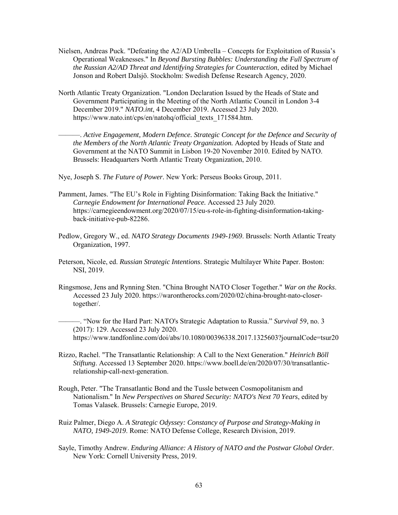- Nielsen, Andreas Puck. "Defeating the A2/AD Umbrella Concepts for Exploitation of Russia's Operational Weaknesses." In *Beyond Bursting Bubbles: Understanding the Full Spectrum of the Russian A2/AD Threat and Identifying Strategies for Counteraction*, edited by Michael Jonson and Robert Dalsjö. Stockholm: Swedish Defense Research Agency, 2020.
- North Atlantic Treaty Organization. "London Declaration Issued by the Heads of State and Government Participating in the Meeting of the North Atlantic Council in London 3-4 December 2019." *NATO.int*, 4 December 2019. Accessed 23 July 2020. https://www.nato.int/cps/en/natohq/official\_texts\_171584.htm.

———. *Active Engagement, Modern Defence. Strategic Concept for the Defence and Security of the Members of the North Atlantic Treaty Organization.* Adopted by Heads of State and Government at the NATO Summit in Lisbon 19-20 November 2010. Edited by NATO. Brussels: Headquarters North Atlantic Treaty Organization, 2010.

Nye, Joseph S. *The Future of Power*. New York: Perseus Books Group, 2011.

- Pamment, James. "The EU's Role in Fighting Disinformation: Taking Back the Initiative." *Carnegie Endowment for International Peace.* Accessed 23 July 2020. https://carnegieendowment.org/2020/07/15/eu-s-role-in-fighting-disinformation-takingback-initiative-pub-82286.
- Pedlow, Gregory W., ed. *NATO Strategy Documents 1949-1969*. Brussels: North Atlantic Treaty Organization, 1997.
- Peterson, Nicole, ed. *Russian Strategic Intentions*. Strategic Multilayer White Paper. Boston: NSI, 2019.
- Ringsmose, Jens and Rynning Sten. "China Brought NATO Closer Together." *War on the Rocks*. Accessed 23 July 2020. https://warontherocks.com/2020/02/china-brought-nato-closertogether/.

———. "Now for the Hard Part: NATO's Strategic Adaptation to Russia." *Survival* 59, no. 3 (2017): 129. Accessed 23 July 2020. https://www.tandfonline.com/doi/abs/10.1080/00396338.2017.1325603?journalCode=tsur20

- Rizzo, Rachel. "The Transatlantic Relationship: A Call to the Next Generation." *Heinrich Böll Stiftung*. Accessed 13 September 2020. https://www.boell.de/en/2020/07/30/transatlanticrelationship-call-next-generation.
- Rough, Peter. "The Transatlantic Bond and the Tussle between Cosmopolitanism and Nationalism." In *New Perspectives on Shared Security: NATO's Next 70 Years*, edited by Tomas Valasek. Brussels: Carnegie Europe, 2019.
- Ruiz Palmer, Diego A. *A Strategic Odyssey: Constancy of Purpose and Strategy-Making in NATO, 1949-2019*. Rome: NATO Defense College, Research Division, 2019.
- Sayle, Timothy Andrew. *Enduring Alliance: A History of NATO and the Postwar Global Order*. New York: Cornell University Press, 2019.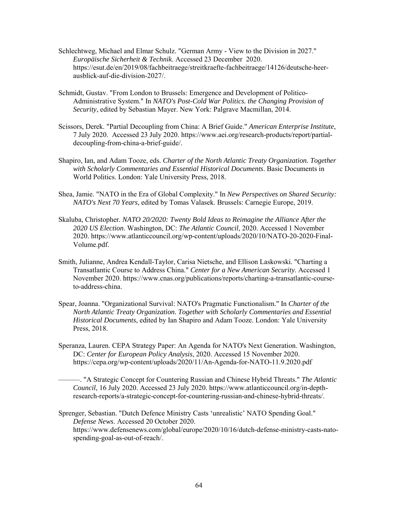- Schlechtweg, Michael and Elmar Schulz. "German Army View to the Division in 2027." *Europäische Sicherheit & Technik*. Accessed 23 December 2020. https://esut.de/en/2019/08/fachbeitraege/streitkraefte-fachbeitraege/14126/deutsche-heerausblick-auf-die-division-2027/.
- Schmidt, Gustav. "From London to Brussels: Emergence and Development of Politico-Administrative System." In *NATO's Post-Cold War Politics. the Changing Provision of Security*, edited by Sebastian Mayer. New York: Palgrave Macmillan, 2014.
- Scissors, Derek. "Partial Decoupling from China: A Brief Guide." *American Enterprise Institute*, 7 July 2020. Accessed 23 July 2020. https://www.aei.org/research-products/report/partialdecoupling-from-china-a-brief-guide/.
- Shapiro, Ian, and Adam Tooze, eds. *Charter of the North Atlantic Treaty Organization. Together with Scholarly Commentaries and Essential Historical Documents*. Basic Documents in World Politics. London: Yale University Press, 2018.
- Shea, Jamie. "NATO in the Era of Global Complexity." In *New Perspectives on Shared Security: NATO's Next 70 Years*, edited by Tomas Valasek. Brussels: Carnegie Europe, 2019.
- Skaluba, Christopher*. NATO 20/2020: Twenty Bold Ideas to Reimagine the Alliance After the 2020 US Election*. Washington, DC: *The Atlantic Council*, 2020. Accessed 1 November 2020. https://www.atlanticcouncil.org/wp-content/uploads/2020/10/NATO-20-2020-Final-Volume.pdf.
- Smith, Julianne, Andrea Kendall-Taylor, Carisa Nietsche, and Ellison Laskowski. "Charting a Transatlantic Course to Address China." *Center for a New American Security*. Accessed 1 November 2020. https://www.cnas.org/publications/reports/charting-a-transatlantic-courseto-address-china.
- Spear, Joanna. "Organizational Survival: NATO's Pragmatic Functionalism." In *Charter of the North Atlantic Treaty Organization. Together with Scholarly Commentaries and Essential Historical Documents*, edited by Ian Shapiro and Adam Tooze. London: Yale University Press, 2018.
- Speranza, Lauren. CEPA Strategy Paper: An Agenda for NATO's Next Generation. Washington, DC: *Center for European Policy Analysis*, 2020. Accessed 15 November 2020. https://cepa.org/wp-content/uploads/2020/11/An-Agenda-for-NATO-11.9.2020.pdf

———. "A Strategic Concept for Countering Russian and Chinese Hybrid Threats." *The Atlantic Council*, 16 July 2020. Accessed 23 July 2020. https://www.atlanticcouncil.org/in-depthresearch-reports/a-strategic-concept-for-countering-russian-and-chinese-hybrid-threats/.

Sprenger, Sebastian. "Dutch Defence Ministry Casts 'unrealistic' NATO Spending Goal." *Defense News*. Accessed 20 October 2020. https://www.defensenews.com/global/europe/2020/10/16/dutch-defense-ministry-casts-natospending-goal-as-out-of-reach/.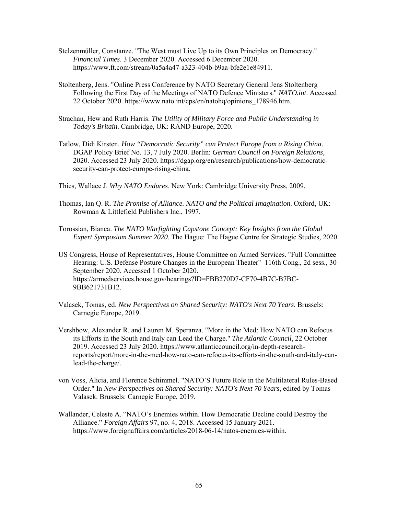- Stelzenmüller, Constanze. "The West must Live Up to its Own Principles on Democracy." *Financial Times*. 3 December 2020. Accessed 6 December 2020. https://www.ft.com/stream/0a5a4a47-a323-404b-b9aa-bfe2e1e84911.
- Stoltenberg, Jens. "Online Press Conference by NATO Secretary General Jens Stoltenberg Following the First Day of the Meetings of NATO Defence Ministers." *NATO.int*. Accessed 22 October 2020. [https://www.nato.int/cps/en/natohq/opinions\\_178946.htm.](https://www.nato.int/cps/en/natohq/opinions_178946.htm)
- Strachan, Hew and Ruth Harris. *The Utility of Military Force and Public Understanding in Today's Britain*. Cambridge, UK: RAND Europe, 2020.
- Tatlow, Didi Kirsten. *How "Democratic Security" can Protect Europe from a Rising China*. DGAP Policy Brief No. 13, 7 July 2020. Berlin: *German Council on Foreign Relations,* 2020. Accessed 23 July 2020. https://dgap.org/en/research/publications/how-democraticsecurity-can-protect-europe-rising-china.
- Thies, Wallace J. *Why NATO Endures*. New York: Cambridge University Press, 2009.
- Thomas, Ian Q. R. *The Promise of Alliance. NATO and the Political Imagination*. Oxford, UK: Rowman & Littlefield Publishers Inc., 1997.
- Torossian, Bianca. *The NATO Warfighting Capstone Concept: Key Insights from the Global Expert Symposium Summer 2020*. The Hague: The Hague Centre for Strategic Studies, 2020.
- US Congress, House of Representatives, House Committee on Armed Services. "Full Committee Hearing: U.S. Defense Posture Changes in the European Theater" 116th Cong., 2d sess*.*, 30 September 2020. Accessed 1 October 2020. [https://armedservices.house.gov/hearings?ID=FBB270D7-CF70-4B7C-B7BC-](https://armedservices.house.gov/hearings?ID=FBB270D7-CF70-4B7C-B7BC-9BB621731B12)[9BB621731B12.](https://armedservices.house.gov/hearings?ID=FBB270D7-CF70-4B7C-B7BC-9BB621731B12)
- Valasek, Tomas, ed. *New Perspectives on Shared Security: NATO's Next 70 Years*. Brussels: Carnegie Europe, 2019.
- Vershbow, Alexander R. and Lauren M. Speranza. "More in the Med: How NATO can Refocus its Efforts in the South and Italy can Lead the Charge." *The Atlantic Council*, 22 October 2019. Accessed 23 July 2020. https://www.atlanticcouncil.org/in-depth-researchreports/report/more-in-the-med-how-nato-can-refocus-its-efforts-in-the-south-and-italy-canlead-the-charge/.
- von Voss, Alicia, and Florence Schimmel. "NATO'S Future Role in the Multilateral Rules-Based Order." In *New Perspectives on Shared Security: NATO's Next 70 Years*, edited by Tomas Valasek. Brussels: Carnegie Europe, 2019.
- Wallander, Celeste A. "NATO's Enemies within. How Democratic Decline could Destroy the Alliance." *Foreign Affairs* 97, no. 4, 2018. Accessed 15 January 2021. https://www.foreignaffairs.com/articles/2018-06-14/natos-enemies-within.